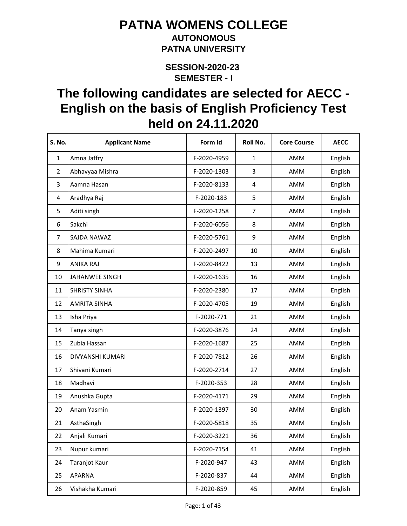#### **AUTONOMOUS PATNA UNIVERSITY**

**SEMESTER - I SESSION-2020-23** 

| <b>S. No.</b>  | <b>Applicant Name</b> | Form Id     | Roll No.         | <b>Core Course</b> | <b>AECC</b> |
|----------------|-----------------------|-------------|------------------|--------------------|-------------|
| $\mathbf{1}$   | Amna Jaffry           | F-2020-4959 | $\mathbf{1}$     | AMM                | English     |
| $\overline{2}$ | Abhavyaa Mishra       | F-2020-1303 | 3                | AMM                | English     |
| 3              | Aamna Hasan           | F-2020-8133 | 4                | AMM                | English     |
| 4              | Aradhya Raj           | F-2020-183  | 5                | AMM                | English     |
| 5              | Aditi singh           | F-2020-1258 | $\overline{7}$   | AMM                | English     |
| 6              | Sakchi                | F-2020-6056 | 8                | AMM                | English     |
| $\overline{7}$ | SAJDA NAWAZ           | F-2020-5761 | $\boldsymbol{9}$ | AMM                | English     |
| 8              | Mahima Kumari         | F-2020-2497 | 10               | AMM                | English     |
| 9              | <b>ANIKA RAJ</b>      | F-2020-8422 | 13               | AMM                | English     |
| 10             | JAHANWEE SINGH        | F-2020-1635 | 16               | AMM                | English     |
| 11             | <b>SHRISTY SINHA</b>  | F-2020-2380 | 17               | AMM                | English     |
| 12             | <b>AMRITA SINHA</b>   | F-2020-4705 | 19               | AMM                | English     |
| 13             | Isha Priya            | F-2020-771  | 21               | AMM                | English     |
| 14             | Tanya singh           | F-2020-3876 | 24               | AMM                | English     |
| 15             | Zubia Hassan          | F-2020-1687 | 25               | AMM                | English     |
| 16             | DIVYANSHI KUMARI      | F-2020-7812 | 26               | AMM                | English     |
| 17             | Shivani Kumari        | F-2020-2714 | 27               | AMM                | English     |
| 18             | Madhavi               | F-2020-353  | 28               | AMM                | English     |
| 19             | Anushka Gupta         | F-2020-4171 | 29               | AMM                | English     |
| 20             | Anam Yasmin           | F-2020-1397 | 30               | AMM                | English     |
| 21             | AsthaSingh            | F-2020-5818 | 35               | AMM                | English     |
| 22             | Anjali Kumari         | F-2020-3221 | 36               | AMM                | English     |
| 23             | Nupur kumari          | F-2020-7154 | 41               | AMM                | English     |
| 24             | Taranjot Kaur         | F-2020-947  | 43               | AMM                | English     |
| 25             | <b>APARNA</b>         | F-2020-837  | 44               | AMM                | English     |
| 26             | Vishakha Kumari       | F-2020-859  | 45               | AMM                | English     |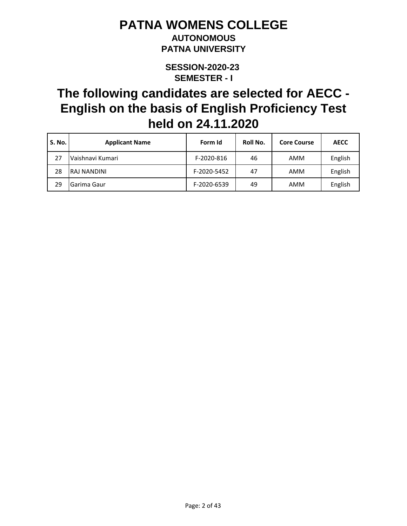### **AUTONOMOUS PATNA UNIVERSITY**

**SEMESTER - I SESSION-2020-23** 

| S. No. | <b>Applicant Name</b> | Form Id     | Roll No. | <b>Core Course</b> | <b>AECC</b> |
|--------|-----------------------|-------------|----------|--------------------|-------------|
|        | Vaishnavi Kumari      | F-2020-816  | 46       | AMM                | English     |
| 28     | <b>RAJ NANDINI</b>    | F-2020-5452 | 47       | AMM                | English     |
| 29     | Garima Gaur           | F-2020-6539 | 49       | AMM                | English     |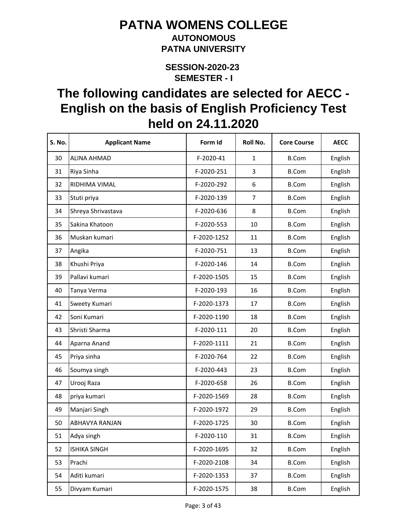#### **AUTONOMOUS PATNA UNIVERSITY**

**SEMESTER - I SESSION-2020-23** 

| <b>S. No.</b> | <b>Applicant Name</b> | Form Id     | Roll No.       | <b>Core Course</b> | <b>AECC</b> |
|---------------|-----------------------|-------------|----------------|--------------------|-------------|
| 30            | <b>ALINA AHMAD</b>    | F-2020-41   | $\mathbf{1}$   | <b>B.Com</b>       | English     |
| 31            | Riya Sinha            | F-2020-251  | 3              | <b>B.Com</b>       | English     |
| 32            | RIDHIMA VIMAL         | F-2020-292  | 6              | <b>B.Com</b>       | English     |
| 33            | Stuti priya           | F-2020-139  | $\overline{7}$ | <b>B.Com</b>       | English     |
| 34            | Shreya Shrivastava    | F-2020-636  | 8              | <b>B.Com</b>       | English     |
| 35            | Sakina Khatoon        | F-2020-553  | 10             | <b>B.Com</b>       | English     |
| 36            | Muskan kumari         | F-2020-1252 | 11             | <b>B.Com</b>       | English     |
| 37            | Angika                | F-2020-751  | 13             | <b>B.Com</b>       | English     |
| 38            | Khushi Priya          | F-2020-146  | 14             | <b>B.Com</b>       | English     |
| 39            | Pallavi kumari        | F-2020-1505 | 15             | <b>B.Com</b>       | English     |
| 40            | Tanya Verma           | F-2020-193  | 16             | <b>B.Com</b>       | English     |
| 41            | Sweety Kumari         | F-2020-1373 | 17             | <b>B.Com</b>       | English     |
| 42            | Soni Kumari           | F-2020-1190 | 18             | <b>B.Com</b>       | English     |
| 43            | Shristi Sharma        | F-2020-111  | 20             | <b>B.Com</b>       | English     |
| 44            | Aparna Anand          | F-2020-1111 | 21             | <b>B.Com</b>       | English     |
| 45            | Priya sinha           | F-2020-764  | 22             | <b>B.Com</b>       | English     |
| 46            | Soumya singh          | F-2020-443  | 23             | <b>B.Com</b>       | English     |
| 47            | Urooj Raza            | F-2020-658  | 26             | <b>B.Com</b>       | English     |
| 48            | priya kumari          | F-2020-1569 | 28             | <b>B.Com</b>       | English     |
| 49            | Manjari Singh         | F-2020-1972 | 29             | <b>B.Com</b>       | English     |
| 50            | <b>ABHAVYA RANJAN</b> | F-2020-1725 | 30             | <b>B.Com</b>       | English     |
| 51            | Adya singh            | F-2020-110  | 31             | <b>B.Com</b>       | English     |
| 52            | <b>ISHIKA SINGH</b>   | F-2020-1695 | 32             | <b>B.Com</b>       | English     |
| 53            | Prachi                | F-2020-2108 | 34             | <b>B.Com</b>       | English     |
| 54            | Aditi kumari          | F-2020-1353 | 37             | <b>B.Com</b>       | English     |
| 55            | Divyam Kumari         | F-2020-1575 | 38             | <b>B.Com</b>       | English     |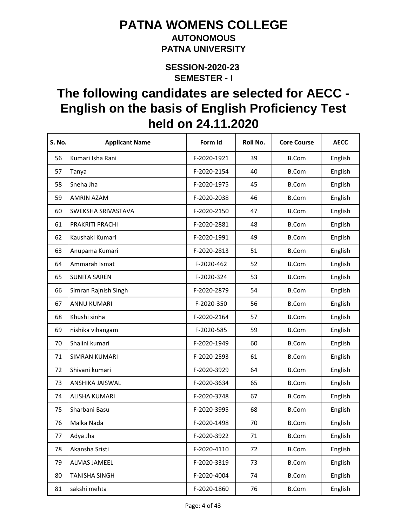#### **AUTONOMOUS PATNA UNIVERSITY**

**SEMESTER - I SESSION-2020-23** 

| S. No. | <b>Applicant Name</b> | Form Id     | Roll No. | <b>Core Course</b> | <b>AECC</b> |
|--------|-----------------------|-------------|----------|--------------------|-------------|
| 56     | Kumari Isha Rani      | F-2020-1921 | 39       | <b>B.Com</b>       | English     |
| 57     | Tanya                 | F-2020-2154 | 40       | <b>B.Com</b>       | English     |
| 58     | Sneha Jha             | F-2020-1975 | 45       | <b>B.Com</b>       | English     |
| 59     | <b>AMRIN AZAM</b>     | F-2020-2038 | 46       | <b>B.Com</b>       | English     |
| 60     | SWEKSHA SRIVASTAVA    | F-2020-2150 | 47       | <b>B.Com</b>       | English     |
| 61     | PRAKRITI PRACHI       | F-2020-2881 | 48       | <b>B.Com</b>       | English     |
| 62     | Kaushaki Kumari       | F-2020-1991 | 49       | <b>B.Com</b>       | English     |
| 63     | Anupama Kumari        | F-2020-2813 | 51       | <b>B.Com</b>       | English     |
| 64     | Ammarah Ismat         | F-2020-462  | 52       | <b>B.Com</b>       | English     |
| 65     | <b>SUNITA SAREN</b>   | F-2020-324  | 53       | <b>B.Com</b>       | English     |
| 66     | Simran Rajnish Singh  | F-2020-2879 | 54       | <b>B.Com</b>       | English     |
| 67     | <b>ANNU KUMARI</b>    | F-2020-350  | 56       | <b>B.Com</b>       | English     |
| 68     | Khushi sinha          | F-2020-2164 | 57       | <b>B.Com</b>       | English     |
| 69     | nishika vihangam      | F-2020-585  | 59       | <b>B.Com</b>       | English     |
| 70     | Shalini kumari        | F-2020-1949 | 60       | <b>B.Com</b>       | English     |
| 71     | <b>SIMRAN KUMARI</b>  | F-2020-2593 | 61       | <b>B.Com</b>       | English     |
| 72     | Shivani kumari        | F-2020-3929 | 64       | <b>B.Com</b>       | English     |
| 73     | ANSHIKA JAISWAL       | F-2020-3634 | 65       | <b>B.Com</b>       | English     |
| 74     | <b>ALISHA KUMARI</b>  | F-2020-3748 | 67       | <b>B.Com</b>       | English     |
| 75     | Sharbani Basu         | F-2020-3995 | 68       | <b>B.Com</b>       | English     |
| 76     | Malka Nada            | F-2020-1498 | 70       | <b>B.Com</b>       | English     |
| 77     | Adya Jha              | F-2020-3922 | 71       | <b>B.Com</b>       | English     |
| 78     | Akansha Sristi        | F-2020-4110 | 72       | <b>B.Com</b>       | English     |
| 79     | <b>ALMAS JAMEEL</b>   | F-2020-3319 | 73       | <b>B.Com</b>       | English     |
| 80     | <b>TANISHA SINGH</b>  | F-2020-4004 | 74       | <b>B.Com</b>       | English     |
| 81     | sakshi mehta          | F-2020-1860 | 76       | <b>B.Com</b>       | English     |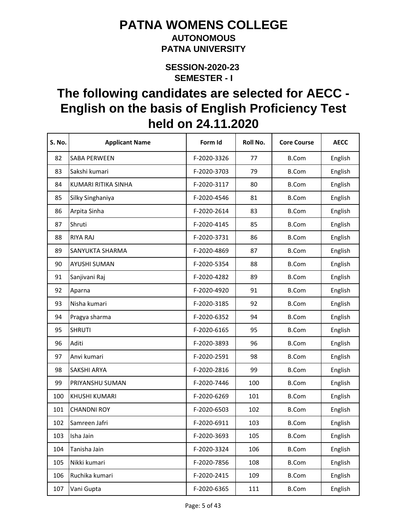#### **AUTONOMOUS PATNA UNIVERSITY**

**SEMESTER - I SESSION-2020-23** 

| <b>S. No.</b> | <b>Applicant Name</b> | Form Id     | Roll No. | <b>Core Course</b> | <b>AECC</b> |
|---------------|-----------------------|-------------|----------|--------------------|-------------|
| 82            | <b>SABA PERWEEN</b>   | F-2020-3326 | 77       | <b>B.Com</b>       | English     |
| 83            | Sakshi kumari         | F-2020-3703 | 79       | <b>B.Com</b>       | English     |
| 84            | KUMARI RITIKA SINHA   | F-2020-3117 | 80       | <b>B.Com</b>       | English     |
| 85            | Silky Singhaniya      | F-2020-4546 | 81       | <b>B.Com</b>       | English     |
| 86            | Arpita Sinha          | F-2020-2614 | 83       | <b>B.Com</b>       | English     |
| 87            | Shruti                | F-2020-4145 | 85       | <b>B.Com</b>       | English     |
| 88            | <b>RIYA RAJ</b>       | F-2020-3731 | 86       | <b>B.Com</b>       | English     |
| 89            | SANYUKTA SHARMA       | F-2020-4869 | 87       | <b>B.Com</b>       | English     |
| 90            | AYUSHI SUMAN          | F-2020-5354 | 88       | <b>B.Com</b>       | English     |
| 91            | Sanjivani Raj         | F-2020-4282 | 89       | <b>B.Com</b>       | English     |
| 92            | Aparna                | F-2020-4920 | 91       | <b>B.Com</b>       | English     |
| 93            | Nisha kumari          | F-2020-3185 | 92       | <b>B.Com</b>       | English     |
| 94            | Pragya sharma         | F-2020-6352 | 94       | <b>B.Com</b>       | English     |
| 95            | <b>SHRUTI</b>         | F-2020-6165 | 95       | <b>B.Com</b>       | English     |
| 96            | Aditi                 | F-2020-3893 | 96       | <b>B.Com</b>       | English     |
| 97            | Anvi kumari           | F-2020-2591 | 98       | <b>B.Com</b>       | English     |
| 98            | SAKSHI ARYA           | F-2020-2816 | 99       | <b>B.Com</b>       | English     |
| 99            | PRIYANSHU SUMAN       | F-2020-7446 | 100      | <b>B.Com</b>       | English     |
| 100           | <b>KHUSHI KUMARI</b>  | F-2020-6269 | 101      | <b>B.Com</b>       | English     |
| 101           | <b>CHANDNI ROY</b>    | F-2020-6503 | 102      | <b>B.Com</b>       | English     |
| 102           | Samreen Jafri         | F-2020-6911 | 103      | <b>B.Com</b>       | English     |
| 103           | Isha Jain             | F-2020-3693 | 105      | <b>B.Com</b>       | English     |
| 104           | Tanisha Jain          | F-2020-3324 | 106      | <b>B.Com</b>       | English     |
| 105           | Nikki kumari          | F-2020-7856 | 108      | <b>B.Com</b>       | English     |
| 106           | Ruchika kumari        | F-2020-2415 | 109      | <b>B.Com</b>       | English     |
| 107           | Vani Gupta            | F-2020-6365 | 111      | <b>B.Com</b>       | English     |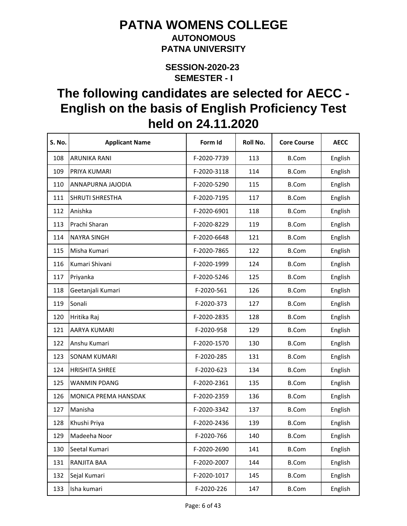#### **AUTONOMOUS PATNA UNIVERSITY**

**SEMESTER - I SESSION-2020-23** 

| <b>S. No.</b> | <b>Applicant Name</b>  | Form Id     | Roll No. | <b>Core Course</b> | <b>AECC</b> |
|---------------|------------------------|-------------|----------|--------------------|-------------|
| 108           | <b>ARUNIKA RANI</b>    | F-2020-7739 | 113      | <b>B.Com</b>       | English     |
| 109           | PRIYA KUMARI           | F-2020-3118 | 114      | <b>B.Com</b>       | English     |
| 110           | ANNAPURNA JAJODIA      | F-2020-5290 | 115      | <b>B.Com</b>       | English     |
| 111           | <b>SHRUTI SHRESTHA</b> | F-2020-7195 | 117      | <b>B.Com</b>       | English     |
| 112           | Anishka                | F-2020-6901 | 118      | <b>B.Com</b>       | English     |
| 113           | Prachi Sharan          | F-2020-8229 | 119      | <b>B.Com</b>       | English     |
| 114           | <b>NAYRA SINGH</b>     | F-2020-6648 | 121      | <b>B.Com</b>       | English     |
| 115           | Misha Kumari           | F-2020-7865 | 122      | <b>B.Com</b>       | English     |
| 116           | Kumari Shivani         | F-2020-1999 | 124      | <b>B.Com</b>       | English     |
| 117           | Priyanka               | F-2020-5246 | 125      | <b>B.Com</b>       | English     |
| 118           | Geetanjali Kumari      | F-2020-561  | 126      | <b>B.Com</b>       | English     |
| 119           | Sonali                 | F-2020-373  | 127      | <b>B.Com</b>       | English     |
| 120           | Hritika Raj            | F-2020-2835 | 128      | <b>B.Com</b>       | English     |
| 121           | AARYA KUMARI           | F-2020-958  | 129      | <b>B.Com</b>       | English     |
| 122           | Anshu Kumari           | F-2020-1570 | 130      | <b>B.Com</b>       | English     |
| 123           | <b>SONAM KUMARI</b>    | F-2020-285  | 131      | <b>B.Com</b>       | English     |
| 124           | <b>HRISHITA SHREE</b>  | F-2020-623  | 134      | <b>B.Com</b>       | English     |
| 125           | <b>WANMIN PDANG</b>    | F-2020-2361 | 135      | <b>B.Com</b>       | English     |
| 126           | MONICA PREMA HANSDAK   | F-2020-2359 | 136      | <b>B.Com</b>       | English     |
| 127           | Manisha                | F-2020-3342 | 137      | <b>B.Com</b>       | English     |
| 128           | Khushi Priya           | F-2020-2436 | 139      | <b>B.Com</b>       | English     |
| 129           | Madeeha Noor           | F-2020-766  | 140      | <b>B.Com</b>       | English     |
| 130           | Seetal Kumari          | F-2020-2690 | 141      | <b>B.Com</b>       | English     |
| 131           | RANJITA BAA            | F-2020-2007 | 144      | <b>B.Com</b>       | English     |
| 132           | Sejal Kumari           | F-2020-1017 | 145      | <b>B.Com</b>       | English     |
| 133           | Isha kumari            | F-2020-226  | 147      | <b>B.Com</b>       | English     |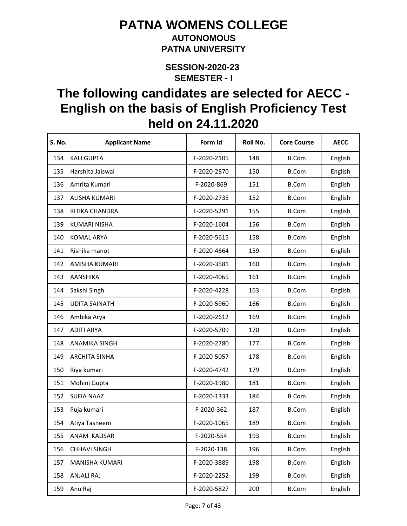#### **AUTONOMOUS PATNA UNIVERSITY**

**SEMESTER - I SESSION-2020-23** 

| S. No. | <b>Applicant Name</b> | Form Id     | Roll No. | <b>Core Course</b> | <b>AECC</b> |
|--------|-----------------------|-------------|----------|--------------------|-------------|
| 134    | <b>KALI GUPTA</b>     | F-2020-2105 | 148      | <b>B.Com</b>       | English     |
| 135    | Harshita Jaiswal      | F-2020-2870 | 150      | <b>B.Com</b>       | English     |
| 136    | Amrita Kumari         | F-2020-869  | 151      | <b>B.Com</b>       | English     |
| 137    | <b>ALISHA KUMARI</b>  | F-2020-2735 | 152      | <b>B.Com</b>       | English     |
| 138    | RITIKA CHANDRA        | F-2020-5291 | 155      | <b>B.Com</b>       | English     |
| 139    | <b>KUMARI NISHA</b>   | F-2020-1604 | 156      | <b>B.Com</b>       | English     |
| 140    | <b>KOMAL ARYA</b>     | F-2020-5615 | 158      | <b>B.Com</b>       | English     |
| 141    | Rishika manot         | F-2020-4664 | 159      | <b>B.Com</b>       | English     |
| 142    | AMISHA KUMARI         | F-2020-3581 | 160      | <b>B.Com</b>       | English     |
| 143    | <b>AANSHIKA</b>       | F-2020-4065 | 161      | <b>B.Com</b>       | English     |
| 144    | Sakshi Singh          | F-2020-4228 | 163      | <b>B.Com</b>       | English     |
| 145    | <b>UDITA SAINATH</b>  | F-2020-5960 | 166      | <b>B.Com</b>       | English     |
| 146    | Ambika Arya           | F-2020-2612 | 169      | <b>B.Com</b>       | English     |
| 147    | <b>ADITI ARYA</b>     | F-2020-5709 | 170      | <b>B.Com</b>       | English     |
| 148    | <b>ANAMIKA SINGH</b>  | F-2020-2780 | 177      | <b>B.Com</b>       | English     |
| 149    | <b>ARCHITA SINHA</b>  | F-2020-5057 | 178      | <b>B.Com</b>       | English     |
| 150    | Riya kumari           | F-2020-4742 | 179      | <b>B.Com</b>       | English     |
| 151    | Mohini Gupta          | F-2020-1980 | 181      | <b>B.Com</b>       | English     |
| 152    | <b>SUFIA NAAZ</b>     | F-2020-1333 | 184      | <b>B.Com</b>       | English     |
| 153    | Puja kumari           | F-2020-362  | 187      | <b>B.Com</b>       | English     |
| 154    | Atiya Tasneem         | F-2020-1065 | 189      | <b>B.Com</b>       | English     |
| 155    | ANAM KAUSAR           | F-2020-554  | 193      | <b>B.Com</b>       | English     |
| 156    | <b>CHHAVI SINGH</b>   | F-2020-138  | 196      | <b>B.Com</b>       | English     |
| 157    | MANISHA KUMARI        | F-2020-3889 | 198      | <b>B.Com</b>       | English     |
| 158    | <b>ANJALI RAJ</b>     | F-2020-2252 | 199      | <b>B.Com</b>       | English     |
| 159    | Anu Raj               | F-2020-5827 | 200      | <b>B.Com</b>       | English     |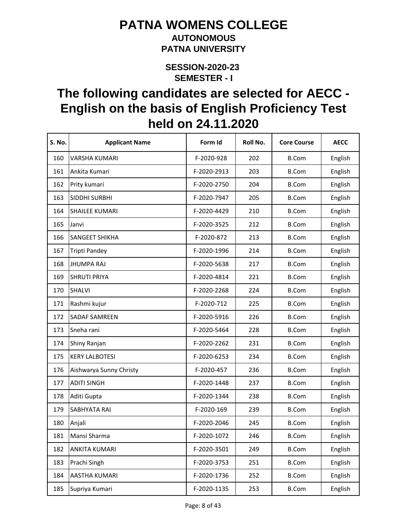#### **AUTONOMOUS PATNA UNIVERSITY**

**SEMESTER - I SESSION-2020-23** 

| <b>S. No.</b> | <b>Applicant Name</b>   | Form Id     | Roll No. | <b>Core Course</b> | <b>AECC</b> |
|---------------|-------------------------|-------------|----------|--------------------|-------------|
| 160           | <b>VARSHA KUMARI</b>    | F-2020-928  | 202      | <b>B.Com</b>       | English     |
| 161           | Ankita Kumari           | F-2020-2913 | 203      | <b>B.Com</b>       | English     |
| 162           | Prity kumari            | F-2020-2750 | 204      | <b>B.Com</b>       | English     |
| 163           | SIDDHI SURBHI           | F-2020-7947 | 205      | <b>B.Com</b>       | English     |
| 164           | <b>SHAILEE KUMARI</b>   | F-2020-4429 | 210      | <b>B.Com</b>       | English     |
| 165           | Janvi                   | F-2020-3525 | 212      | <b>B.Com</b>       | English     |
| 166           | <b>SANGEET SHIKHA</b>   | F-2020-872  | 213      | <b>B.Com</b>       | English     |
| 167           | Tripti Pandey           | F-2020-1996 | 214      | <b>B.Com</b>       | English     |
| 168           | <b>JHUMPA RAJ</b>       | F-2020-5638 | 217      | <b>B.Com</b>       | English     |
| 169           | <b>SHRUTI PRIYA</b>     | F-2020-4814 | 221      | <b>B.Com</b>       | English     |
| 170           | <b>SHALVI</b>           | F-2020-2268 | 224      | <b>B.Com</b>       | English     |
| 171           | Rashmi kujur            | F-2020-712  | 225      | <b>B.Com</b>       | English     |
| 172           | <b>SADAF SAMREEN</b>    | F-2020-5916 | 226      | <b>B.Com</b>       | English     |
| 173           | Sneha rani              | F-2020-5464 | 228      | <b>B.Com</b>       | English     |
| 174           | Shiny Ranjan            | F-2020-2262 | 231      | <b>B.Com</b>       | English     |
| 175           | <b>KERY LALBOTESI</b>   | F-2020-6253 | 234      | <b>B.Com</b>       | English     |
| 176           | Aishwarya Sunny Christy | F-2020-457  | 236      | <b>B.Com</b>       | English     |
| 177           | <b>ADITI SINGH</b>      | F-2020-1448 | 237      | <b>B.Com</b>       | English     |
| 178           | Aditi Gupta             | F-2020-1344 | 238      | <b>B.Com</b>       | English     |
| 179           | SABHYATA RAI            | F-2020-169  | 239      | <b>B.Com</b>       | English     |
| 180           | Anjali                  | F-2020-2046 | 245      | <b>B.Com</b>       | English     |
| 181           | Mansi Sharma            | F-2020-1072 | 246      | <b>B.Com</b>       | English     |
| 182           | <b>ANKITA KUMARI</b>    | F-2020-3501 | 249      | <b>B.Com</b>       | English     |
| 183           | Prachi Singh            | F-2020-3753 | 251      | <b>B.Com</b>       | English     |
| 184           | <b>AASTHA KUMARI</b>    | F-2020-1736 | 252      | <b>B.Com</b>       | English     |
| 185           | Supriya Kumari          | F-2020-1135 | 253      | <b>B.Com</b>       | English     |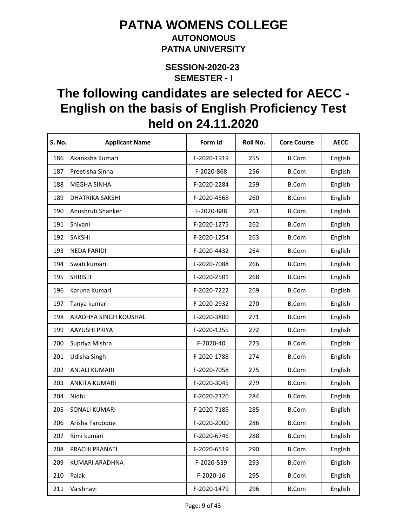#### **AUTONOMOUS PATNA UNIVERSITY**

**SEMESTER - I SESSION-2020-23** 

| S. No. | <b>Applicant Name</b>  | Form Id     | Roll No. | <b>Core Course</b> | <b>AECC</b> |
|--------|------------------------|-------------|----------|--------------------|-------------|
| 186    | Akanksha Kumari        | F-2020-1919 | 255      | <b>B.Com</b>       | English     |
| 187    | Preetisha Sinha        | F-2020-868  | 256      | <b>B.Com</b>       | English     |
| 188    | <b>MEGHA SINHA</b>     | F-2020-2284 | 259      | <b>B.Com</b>       | English     |
| 189    | <b>DHATRIKA SAKSHI</b> | F-2020-4568 | 260      | <b>B.Com</b>       | English     |
| 190    | Anushruti Shanker      | F-2020-888  | 261      | <b>B.Com</b>       | English     |
| 191    | Shivani                | F-2020-1275 | 262      | <b>B.Com</b>       | English     |
| 192    | <b>SAKSHI</b>          | F-2020-1254 | 263      | <b>B.Com</b>       | English     |
| 193    | <b>NEDA FARIDI</b>     | F-2020-4432 | 264      | <b>B.Com</b>       | English     |
| 194    | Swati kumari           | F-2020-7088 | 266      | <b>B.Com</b>       | English     |
| 195    | <b>SHRISTI</b>         | F-2020-2501 | 268      | <b>B.Com</b>       | English     |
| 196    | Karuna Kumari          | F-2020-7222 | 269      | <b>B.Com</b>       | English     |
| 197    | Tanya kumari           | F-2020-2932 | 270      | <b>B.Com</b>       | English     |
| 198    | ARADHYA SINGH KOUSHAL  | F-2020-3800 | 271      | <b>B.Com</b>       | English     |
| 199    | AAYUSHI PRIYA          | F-2020-1255 | 272      | <b>B.Com</b>       | English     |
| 200    | Supriya Mishra         | F-2020-40   | 273      | <b>B.Com</b>       | English     |
| 201    | Udisha Singh           | F-2020-1788 | 274      | <b>B.Com</b>       | English     |
| 202    | ANJALI KUMARI          | F-2020-7058 | 275      | <b>B.Com</b>       | English     |
| 203    | <b>ANKITA KUMARI</b>   | F-2020-3045 | 279      | <b>B.Com</b>       | English     |
| 204    | Nidhi                  | F-2020-2320 | 284      | <b>B.Com</b>       | English     |
| 205    | <b>SONALI KUMARI</b>   | F-2020-7185 | 285      | <b>B.Com</b>       | English     |
| 206    | Arisha Farooque        | F-2020-2000 | 286      | <b>B.Com</b>       | English     |
| 207    | Rimi kumari            | F-2020-6746 | 288      | <b>B.Com</b>       | English     |
| 208    | PRACHI PRANATI         | F-2020-6519 | 290      | <b>B.Com</b>       | English     |
| 209    | KUMARI ARADHNA         | F-2020-539  | 293      | <b>B.Com</b>       | English     |
| 210    | Palak                  | F-2020-16   | 295      | <b>B.Com</b>       | English     |
| 211    | Vaishnavi              | F-2020-1479 | 296      | <b>B.Com</b>       | English     |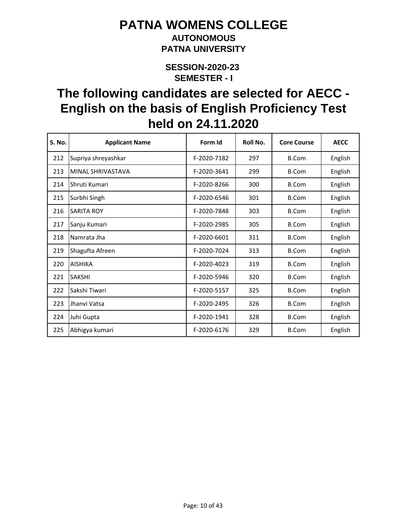### **AUTONOMOUS PATNA UNIVERSITY**

**SEMESTER - I SESSION-2020-23** 

| S. No. | <b>Applicant Name</b> | Form Id     | Roll No. | <b>Core Course</b> | <b>AECC</b> |
|--------|-----------------------|-------------|----------|--------------------|-------------|
| 212    | Supriya shreyashkar   | F-2020-7182 | 297      | B.Com              | English     |
| 213    | MINAL SHRIVASTAVA     | F-2020-3641 | 299      | <b>B.Com</b>       | English     |
| 214    | Shruti Kumari         | F-2020-8266 | 300      | <b>B.Com</b>       | English     |
| 215    | Surbhi Singh          | F-2020-6546 | 301      | B.Com              | English     |
| 216    | <b>SARITA ROY</b>     | F-2020-7848 | 303      | B.Com              | English     |
| 217    | Sanju Kumari          | F-2020-2985 | 305      | <b>B.Com</b>       | English     |
| 218    | Namrata Jha           | F-2020-6601 | 311      | <b>B.Com</b>       | English     |
| 219    | Shagufta Afreen       | F-2020-7024 | 313      | B.Com              | English     |
| 220    | <b>AISHIKA</b>        | F-2020-4023 | 319      | <b>B.Com</b>       | English     |
| 221    | <b>SAKSHI</b>         | F-2020-5946 | 320      | <b>B.Com</b>       | English     |
| 222    | Sakshi Tiwari         | F-2020-5157 | 325      | <b>B.Com</b>       | English     |
| 223    | Jhanvi Vatsa          | F-2020-2495 | 326      | <b>B.Com</b>       | English     |
| 224    | Juhi Gupta            | F-2020-1941 | 328      | <b>B.Com</b>       | English     |
| 225    | Abhigya kumari        | F-2020-6176 | 329      | <b>B.Com</b>       | English     |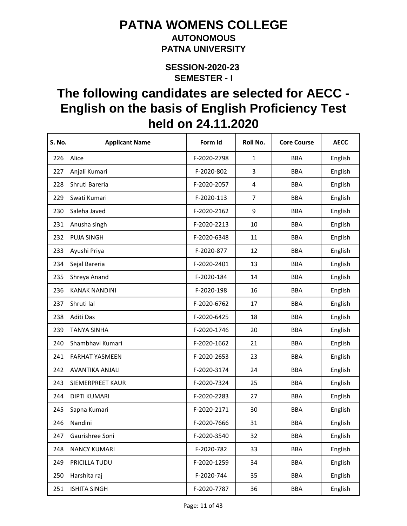### **AUTONOMOUS PATNA UNIVERSITY**

**SEMESTER - I SESSION-2020-23** 

| <b>S. No.</b> | <b>Applicant Name</b> | Form Id     | Roll No.       | <b>Core Course</b> | <b>AECC</b> |
|---------------|-----------------------|-------------|----------------|--------------------|-------------|
| 226           | Alice                 | F-2020-2798 | $\mathbf{1}$   | <b>BBA</b>         | English     |
| 227           | Anjali Kumari         | F-2020-802  | 3              | <b>BBA</b>         | English     |
| 228           | Shruti Bareria        | F-2020-2057 | 4              | <b>BBA</b>         | English     |
| 229           | Swati Kumari          | F-2020-113  | $\overline{7}$ | <b>BBA</b>         | English     |
| 230           | Saleha Javed          | F-2020-2162 | 9              | <b>BBA</b>         | English     |
| 231           | Anusha singh          | F-2020-2213 | 10             | <b>BBA</b>         | English     |
| 232           | <b>PUJA SINGH</b>     | F-2020-6348 | 11             | <b>BBA</b>         | English     |
| 233           | Ayushi Priya          | F-2020-877  | 12             | <b>BBA</b>         | English     |
| 234           | Sejal Bareria         | F-2020-2401 | 13             | <b>BBA</b>         | English     |
| 235           | Shreya Anand          | F-2020-184  | 14             | <b>BBA</b>         | English     |
| 236           | <b>KANAK NANDINI</b>  | F-2020-198  | 16             | <b>BBA</b>         | English     |
| 237           | Shruti lal            | F-2020-6762 | 17             | <b>BBA</b>         | English     |
| 238           | Aditi Das             | F-2020-6425 | 18             | <b>BBA</b>         | English     |
| 239           | <b>TANYA SINHA</b>    | F-2020-1746 | 20             | <b>BBA</b>         | English     |
| 240           | Shambhavi Kumari      | F-2020-1662 | 21             | <b>BBA</b>         | English     |
| 241           | <b>FARHAT YASMEEN</b> | F-2020-2653 | 23             | <b>BBA</b>         | English     |
| 242           | AVANTIKA ANJALI       | F-2020-3174 | 24             | <b>BBA</b>         | English     |
| 243           | SIEMERPREET KAUR      | F-2020-7324 | 25             | <b>BBA</b>         | English     |
| 244           | <b>DIPTI KUMARI</b>   | F-2020-2283 | 27             | <b>BBA</b>         | English     |
| 245           | Sapna Kumari          | F-2020-2171 | 30             | <b>BBA</b>         | English     |
| 246           | Nandini               | F-2020-7666 | 31             | <b>BBA</b>         | English     |
| 247           | Gaurishree Soni       | F-2020-3540 | 32             | <b>BBA</b>         | English     |
| 248           | <b>NANCY KUMARI</b>   | F-2020-782  | 33             | <b>BBA</b>         | English     |
| 249           | PRICILLA TUDU         | F-2020-1259 | 34             | <b>BBA</b>         | English     |
| 250           | Harshita raj          | F-2020-744  | 35             | <b>BBA</b>         | English     |
| 251           | <b>ISHITA SINGH</b>   | F-2020-7787 | 36             | <b>BBA</b>         | English     |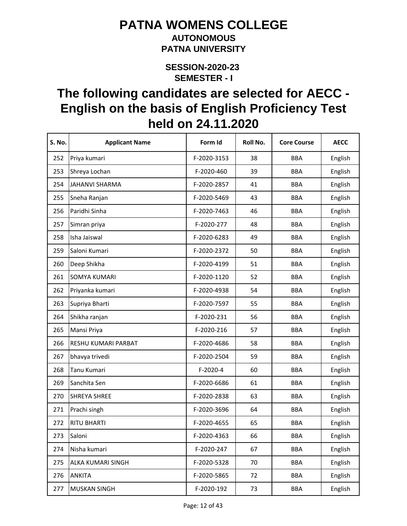#### **AUTONOMOUS PATNA UNIVERSITY**

**SEMESTER - I SESSION-2020-23** 

| S. No. | <b>Applicant Name</b> | Form Id     | Roll No. | <b>Core Course</b> | <b>AECC</b> |
|--------|-----------------------|-------------|----------|--------------------|-------------|
| 252    | Priya kumari          | F-2020-3153 | 38       | <b>BBA</b>         | English     |
| 253    | Shreya Lochan         | F-2020-460  | 39       | <b>BBA</b>         | English     |
| 254    | <b>JAHANVI SHARMA</b> | F-2020-2857 | 41       | <b>BBA</b>         | English     |
| 255    | Sneha Ranjan          | F-2020-5469 | 43       | <b>BBA</b>         | English     |
| 256    | Paridhi Sinha         | F-2020-7463 | 46       | <b>BBA</b>         | English     |
| 257    | Simran priya          | F-2020-277  | 48       | <b>BBA</b>         | English     |
| 258    | Isha Jaiswal          | F-2020-6283 | 49       | <b>BBA</b>         | English     |
| 259    | Saloni Kumari         | F-2020-2372 | 50       | <b>BBA</b>         | English     |
| 260    | Deep Shikha           | F-2020-4199 | 51       | <b>BBA</b>         | English     |
| 261    | <b>SOMYA KUMARI</b>   | F-2020-1120 | 52       | <b>BBA</b>         | English     |
| 262    | Priyanka kumari       | F-2020-4938 | 54       | <b>BBA</b>         | English     |
| 263    | Supriya Bharti        | F-2020-7597 | 55       | <b>BBA</b>         | English     |
| 264    | Shikha ranjan         | F-2020-231  | 56       | <b>BBA</b>         | English     |
| 265    | Mansi Priya           | F-2020-216  | 57       | <b>BBA</b>         | English     |
| 266    | RESHU KUMARI PARBAT   | F-2020-4686 | 58       | <b>BBA</b>         | English     |
| 267    | bhavya trivedi        | F-2020-2504 | 59       | <b>BBA</b>         | English     |
| 268    | Tanu Kumari           | $F-2020-4$  | 60       | <b>BBA</b>         | English     |
| 269    | Sanchita Sen          | F-2020-6686 | 61       | <b>BBA</b>         | English     |
| 270    | <b>SHREYA SHREE</b>   | F-2020-2838 | 63       | <b>BBA</b>         | English     |
| 271    | Prachi singh          | F-2020-3696 | 64       | <b>BBA</b>         | English     |
| 272    | <b>RITU BHARTI</b>    | F-2020-4655 | 65       | <b>BBA</b>         | English     |
| 273    | Saloni                | F-2020-4363 | 66       | BBA                | English     |
| 274    | Nisha kumari          | F-2020-247  | 67       | <b>BBA</b>         | English     |
| 275    | ALKA KUMARI SINGH     | F-2020-5328 | 70       | <b>BBA</b>         | English     |
| 276    | <b>ANKITA</b>         | F-2020-5865 | 72       | <b>BBA</b>         | English     |
| 277    | <b>MUSKAN SINGH</b>   | F-2020-192  | 73       | <b>BBA</b>         | English     |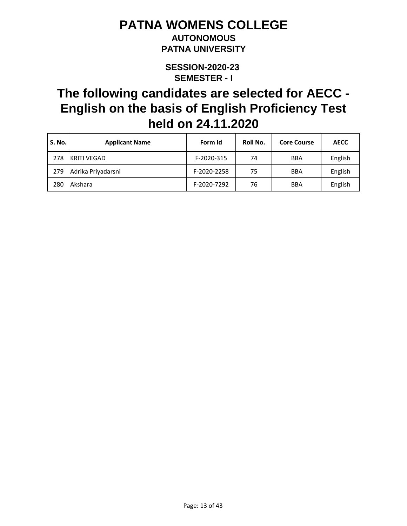### **AUTONOMOUS PATNA UNIVERSITY**

**SEMESTER - I SESSION-2020-23** 

| <b>S. No.</b> | <b>Applicant Name</b> | Form Id     | Roll No. | <b>Core Course</b> | <b>AECC</b> |
|---------------|-----------------------|-------------|----------|--------------------|-------------|
| 278           | KRITI VEGAD           | F-2020-315  | 74       | <b>BBA</b>         | English     |
| 279           | Adrika Priyadarsni    | F-2020-2258 | 75       | <b>BBA</b>         | English     |
| 280           | Akshara               | F-2020-7292 | 76       | <b>BBA</b>         | English     |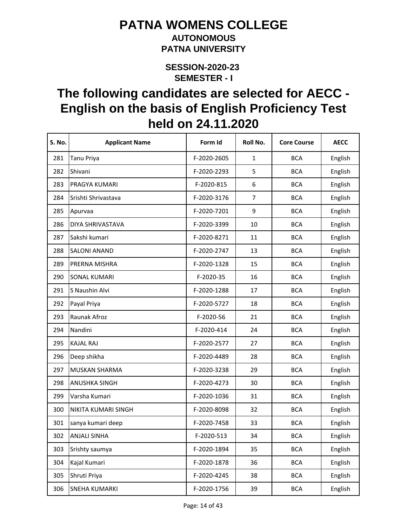#### **AUTONOMOUS PATNA UNIVERSITY**

**SEMESTER - I SESSION-2020-23** 

| S. No. | <b>Applicant Name</b> | Form Id     | Roll No.       | <b>Core Course</b> | <b>AECC</b> |
|--------|-----------------------|-------------|----------------|--------------------|-------------|
| 281    | <b>Tanu Priya</b>     | F-2020-2605 | $\mathbf{1}$   | <b>BCA</b>         | English     |
| 282    | Shivani               | F-2020-2293 | 5              | <b>BCA</b>         | English     |
| 283    | PRAGYA KUMARI         | F-2020-815  | 6              | <b>BCA</b>         | English     |
| 284    | Srishti Shrivastava   | F-2020-3176 | $\overline{7}$ | <b>BCA</b>         | English     |
| 285    | Apurvaa               | F-2020-7201 | 9              | <b>BCA</b>         | English     |
| 286    | DIYA SHRIVASTAVA      | F-2020-3399 | 10             | <b>BCA</b>         | English     |
| 287    | Sakshi kumari         | F-2020-8271 | 11             | <b>BCA</b>         | English     |
| 288    | <b>SALONI ANAND</b>   | F-2020-2747 | 13             | <b>BCA</b>         | English     |
| 289    | PRERNA MISHRA         | F-2020-1328 | 15             | <b>BCA</b>         | English     |
| 290    | <b>SONAL KUMARI</b>   | F-2020-35   | 16             | <b>BCA</b>         | English     |
| 291    | S Naushin Alvi        | F-2020-1288 | 17             | <b>BCA</b>         | English     |
| 292    | Payal Priya           | F-2020-5727 | 18             | <b>BCA</b>         | English     |
| 293    | Raunak Afroz          | F-2020-56   | 21             | <b>BCA</b>         | English     |
| 294    | Nandini               | F-2020-414  | 24             | <b>BCA</b>         | English     |
| 295    | <b>KAJAL RAJ</b>      | F-2020-2577 | 27             | <b>BCA</b>         | English     |
| 296    | Deep shikha           | F-2020-4489 | 28             | <b>BCA</b>         | English     |
| 297    | MUSKAN SHARMA         | F-2020-3238 | 29             | <b>BCA</b>         | English     |
| 298    | <b>ANUSHKA SINGH</b>  | F-2020-4273 | 30             | <b>BCA</b>         | English     |
| 299    | Varsha Kumari         | F-2020-1036 | 31             | <b>BCA</b>         | English     |
| 300    | NIKITA KUMARI SINGH   | F-2020-8098 | 32             | <b>BCA</b>         | English     |
| 301    | sanya kumari deep     | F-2020-7458 | 33             | <b>BCA</b>         | English     |
| 302    | <b>ANJALI SINHA</b>   | F-2020-513  | 34             | <b>BCA</b>         | English     |
| 303    | Srishty saumya        | F-2020-1894 | 35             | <b>BCA</b>         | English     |
| 304    | Kajal Kumari          | F-2020-1878 | 36             | <b>BCA</b>         | English     |
| 305    | Shruti Priya          | F-2020-4245 | 38             | <b>BCA</b>         | English     |
| 306    | <b>SNEHA KUMARKI</b>  | F-2020-1756 | 39             | <b>BCA</b>         | English     |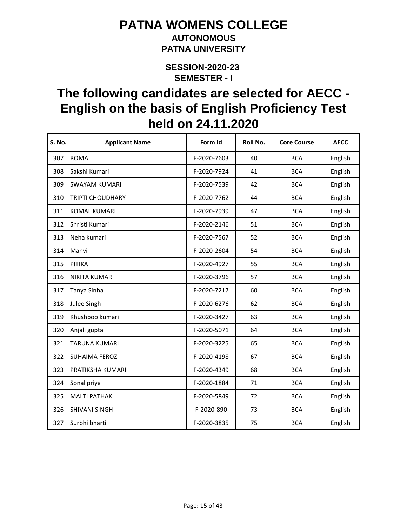#### **AUTONOMOUS PATNA UNIVERSITY**

**SEMESTER - I SESSION-2020-23** 

| <b>S. No.</b> | <b>Applicant Name</b>   | Form Id     | Roll No. | <b>Core Course</b> | <b>AECC</b> |
|---------------|-------------------------|-------------|----------|--------------------|-------------|
| 307           | <b>ROMA</b>             | F-2020-7603 | 40       | <b>BCA</b>         | English     |
| 308           | Sakshi Kumari           | F-2020-7924 | 41       | <b>BCA</b>         | English     |
| 309           | <b>SWAYAM KUMARI</b>    | F-2020-7539 | 42       | <b>BCA</b>         | English     |
| 310           | <b>TRIPTI CHOUDHARY</b> | F-2020-7762 | 44       | <b>BCA</b>         | English     |
| 311           | <b>KOMAL KUMARI</b>     | F-2020-7939 | 47       | <b>BCA</b>         | English     |
| 312           | Shristi Kumari          | F-2020-2146 | 51       | <b>BCA</b>         | English     |
| 313           | Neha kumari             | F-2020-7567 | 52       | <b>BCA</b>         | English     |
| 314           | Manvi                   | F-2020-2604 | 54       | <b>BCA</b>         | English     |
| 315           | PITIKA                  | F-2020-4927 | 55       | <b>BCA</b>         | English     |
| 316           | NIKITA KUMARI           | F-2020-3796 | 57       | <b>BCA</b>         | English     |
| 317           | Tanya Sinha             | F-2020-7217 | 60       | <b>BCA</b>         | English     |
| 318           | Julee Singh             | F-2020-6276 | 62       | <b>BCA</b>         | English     |
| 319           | Khushboo kumari         | F-2020-3427 | 63       | <b>BCA</b>         | English     |
| 320           | Anjali gupta            | F-2020-5071 | 64       | <b>BCA</b>         | English     |
| 321           | <b>TARUNA KUMARI</b>    | F-2020-3225 | 65       | <b>BCA</b>         | English     |
| 322           | <b>SUHAIMA FEROZ</b>    | F-2020-4198 | 67       | <b>BCA</b>         | English     |
| 323           | PRATIKSHA KUMARI        | F-2020-4349 | 68       | <b>BCA</b>         | English     |
| 324           | Sonal priya             | F-2020-1884 | 71       | <b>BCA</b>         | English     |
| 325           | <b>MALTI PATHAK</b>     | F-2020-5849 | 72       | <b>BCA</b>         | English     |
| 326           | <b>SHIVANI SINGH</b>    | F-2020-890  | 73       | <b>BCA</b>         | English     |
| 327           | Surbhi bharti           | F-2020-3835 | 75       | <b>BCA</b>         | English     |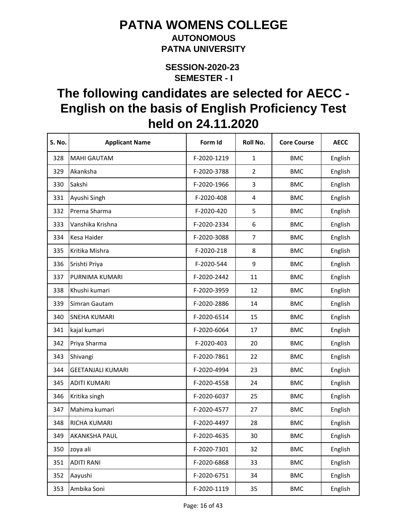#### **AUTONOMOUS PATNA UNIVERSITY**

**SEMESTER - I SESSION-2020-23** 

| S. No. | <b>Applicant Name</b>    | Form Id     | Roll No.                | <b>Core Course</b> | <b>AECC</b> |
|--------|--------------------------|-------------|-------------------------|--------------------|-------------|
| 328    | <b>MAHI GAUTAM</b>       | F-2020-1219 | $\mathbf{1}$            | <b>BMC</b>         | English     |
| 329    | Akanksha                 | F-2020-3788 | $\overline{2}$          | <b>BMC</b>         | English     |
| 330    | Sakshi                   | F-2020-1966 | 3                       | <b>BMC</b>         | English     |
| 331    | Ayushi Singh             | F-2020-408  | $\overline{\mathbf{4}}$ | <b>BMC</b>         | English     |
| 332    | Prerna Sharma            | F-2020-420  | 5                       | <b>BMC</b>         | English     |
| 333    | Vanshika Krishna         | F-2020-2334 | 6                       | <b>BMC</b>         | English     |
| 334    | Kesa Haider              | F-2020-3088 | $\overline{7}$          | <b>BMC</b>         | English     |
| 335    | Kritika Mishra           | F-2020-218  | 8                       | <b>BMC</b>         | English     |
| 336    | Srishti Priya            | F-2020-544  | 9                       | <b>BMC</b>         | English     |
| 337    | PURNIMA KUMARI           | F-2020-2442 | 11                      | <b>BMC</b>         | English     |
| 338    | Khushi kumari            | F-2020-3959 | 12                      | <b>BMC</b>         | English     |
| 339    | Simran Gautam            | F-2020-2886 | 14                      | <b>BMC</b>         | English     |
| 340    | <b>SNEHA KUMARI</b>      | F-2020-6514 | 15                      | <b>BMC</b>         | English     |
| 341    | kajal kumari             | F-2020-6064 | 17                      | <b>BMC</b>         | English     |
| 342    | Priya Sharma             | F-2020-403  | 20                      | <b>BMC</b>         | English     |
| 343    | Shivangi                 | F-2020-7861 | 22                      | <b>BMC</b>         | English     |
| 344    | <b>GEETANJALI KUMARI</b> | F-2020-4994 | 23                      | <b>BMC</b>         | English     |
| 345    | <b>ADITI KUMARI</b>      | F-2020-4558 | 24                      | <b>BMC</b>         | English     |
| 346    | Kritika singh            | F-2020-6037 | 25                      | <b>BMC</b>         | English     |
| 347    | Mahima kumari            | F-2020-4577 | 27                      | <b>BMC</b>         | English     |
| 348    | RICHA KUMARI             | F-2020-4497 | 28                      | <b>BMC</b>         | English     |
| 349    | <b>AKANKSHA PAUL</b>     | F-2020-4635 | 30                      | <b>BMC</b>         | English     |
| 350    | zoya ali                 | F-2020-7301 | 32                      | <b>BMC</b>         | English     |
| 351    | <b>ADITI RANI</b>        | F-2020-6868 | 33                      | <b>BMC</b>         | English     |
| 352    | Aayushi                  | F-2020-6751 | 34                      | <b>BMC</b>         | English     |
| 353    | Ambika Soni              | F-2020-1119 | 35                      | <b>BMC</b>         | English     |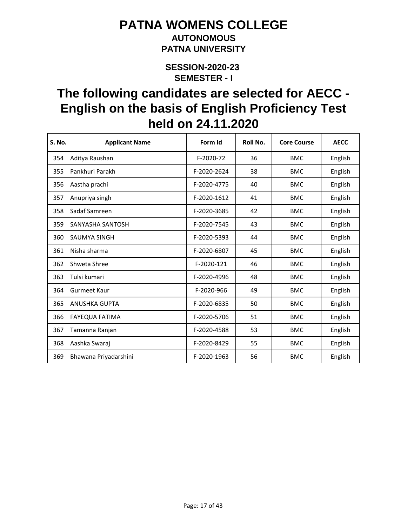### **AUTONOMOUS PATNA UNIVERSITY**

**SEMESTER - I SESSION-2020-23** 

| <b>S. No.</b> | <b>Applicant Name</b>   | Form Id     | Roll No. | <b>Core Course</b> | <b>AECC</b> |
|---------------|-------------------------|-------------|----------|--------------------|-------------|
| 354           | Aditya Raushan          | F-2020-72   | 36       | <b>BMC</b>         | English     |
| 355           | Pankhuri Parakh         | F-2020-2624 | 38       | <b>BMC</b>         | English     |
| 356           | Aastha prachi           | F-2020-4775 | 40       | <b>BMC</b>         | English     |
| 357           | Anupriya singh          | F-2020-1612 | 41       | <b>BMC</b>         | English     |
| 358           | Sadaf Samreen           | F-2020-3685 | 42       | <b>BMC</b>         | English     |
| 359           | <b>SANYASHA SANTOSH</b> | F-2020-7545 | 43       | <b>BMC</b>         | English     |
| 360           | <b>SAUMYA SINGH</b>     | F-2020-5393 | 44       | <b>BMC</b>         | English     |
| 361           | Nisha sharma            | F-2020-6807 | 45       | <b>BMC</b>         | English     |
| 362           | Shweta Shree            | F-2020-121  | 46       | <b>BMC</b>         | English     |
| 363           | Tulsi kumari            | F-2020-4996 | 48       | <b>BMC</b>         | English     |
| 364           | <b>Gurmeet Kaur</b>     | F-2020-966  | 49       | <b>BMC</b>         | English     |
| 365           | <b>ANUSHKA GUPTA</b>    | F-2020-6835 | 50       | <b>BMC</b>         | English     |
| 366           | <b>FAYEQUA FATIMA</b>   | F-2020-5706 | 51       | <b>BMC</b>         | English     |
| 367           | Tamanna Ranjan          | F-2020-4588 | 53       | <b>BMC</b>         | English     |
| 368           | Aashka Swaraj           | F-2020-8429 | 55       | <b>BMC</b>         | English     |
| 369           | Bhawana Priyadarshini   | F-2020-1963 | 56       | <b>BMC</b>         | English     |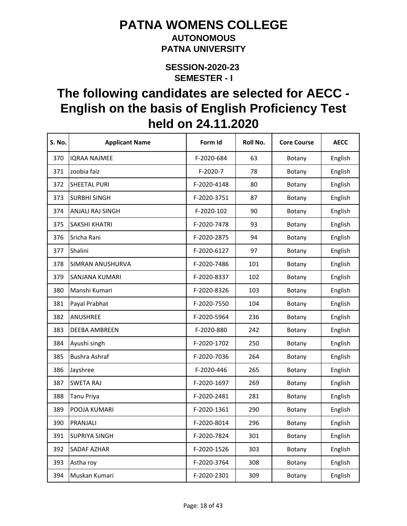#### **AUTONOMOUS PATNA UNIVERSITY**

**SEMESTER - I SESSION-2020-23** 

| S. No. | <b>Applicant Name</b> | Form Id     | Roll No. | <b>Core Course</b> | <b>AECC</b> |
|--------|-----------------------|-------------|----------|--------------------|-------------|
| 370    | <b>IQRAA NAJMEE</b>   | F-2020-684  | 63       | Botany             | English     |
| 371    | zoobia faiz           | F-2020-7    | 78       | Botany             | English     |
| 372    | SHEETAL PURI          | F-2020-4148 | 80       | Botany             | English     |
| 373    | <b>SURBHI SINGH</b>   | F-2020-3751 | 87       | Botany             | English     |
| 374    | ANJALI RAJ SINGH      | F-2020-102  | 90       | Botany             | English     |
| 375    | <b>SAKSHI KHATRI</b>  | F-2020-7478 | 93       | Botany             | English     |
| 376    | Sricha Rani           | F-2020-2875 | 94       | Botany             | English     |
| 377    | Shalini               | F-2020-6127 | 97       | Botany             | English     |
| 378    | SIMRAN ANUSHURVA      | F-2020-7486 | 101      | Botany             | English     |
| 379    | SANJANA KUMARI        | F-2020-8337 | 102      | Botany             | English     |
| 380    | Manshi Kumari         | F-2020-8326 | 103      | Botany             | English     |
| 381    | Payal Prabhat         | F-2020-7550 | 104      | Botany             | English     |
| 382    | <b>ANUSHREE</b>       | F-2020-5964 | 236      | Botany             | English     |
| 383    | DEEBA AMBREEN         | F-2020-880  | 242      | Botany             | English     |
| 384    | Ayushi singh          | F-2020-1702 | 250      | Botany             | English     |
| 385    | <b>Bushra Ashraf</b>  | F-2020-7036 | 264      | Botany             | English     |
| 386    | Jayshree              | F-2020-446  | 265      | Botany             | English     |
| 387    | <b>SWETA RAJ</b>      | F-2020-1697 | 269      | Botany             | English     |
| 388    | <b>Tanu Priya</b>     | F-2020-2481 | 281      | Botany             | English     |
| 389    | POOJA KUMARI          | F-2020-1361 | 290      | Botany             | English     |
| 390    | PRANJALI              | F-2020-8014 | 296      | Botany             | English     |
| 391    | <b>SUPRIYA SINGH</b>  | F-2020-7824 | 301      | Botany             | English     |
| 392    | <b>SADAF AZHAR</b>    | F-2020-1526 | 303      | Botany             | English     |
| 393    | Astha roy             | F-2020-3764 | 308      | Botany             | English     |
| 394    | Muskan Kumari         | F-2020-2301 | 309      | Botany             | English     |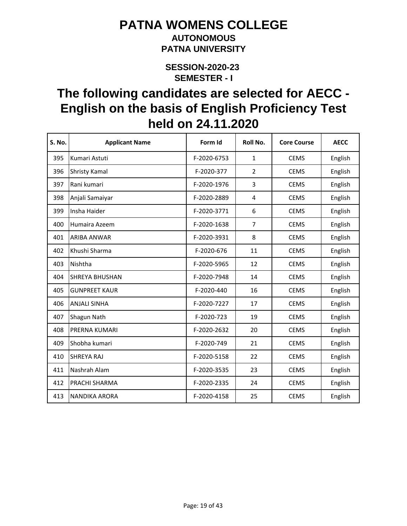### **AUTONOMOUS PATNA UNIVERSITY**

**SEMESTER - I SESSION-2020-23** 

| S. No. | <b>Applicant Name</b> | Form Id     | Roll No.       | <b>Core Course</b> | <b>AECC</b> |
|--------|-----------------------|-------------|----------------|--------------------|-------------|
| 395    | Kumari Astuti         | F-2020-6753 | $\mathbf{1}$   | <b>CEMS</b>        | English     |
| 396    | <b>Shristy Kamal</b>  | F-2020-377  | $\overline{2}$ | <b>CEMS</b>        | English     |
| 397    | Rani kumari           | F-2020-1976 | 3              | <b>CEMS</b>        | English     |
| 398    | Anjali Samaiyar       | F-2020-2889 | 4              | <b>CEMS</b>        | English     |
| 399    | Insha Haider          | F-2020-3771 | 6              | <b>CEMS</b>        | English     |
| 400    | Humaira Azeem         | F-2020-1638 | $\overline{7}$ | <b>CEMS</b>        | English     |
| 401    | ARIBA ANWAR           | F-2020-3931 | 8              | <b>CEMS</b>        | English     |
| 402    | Khushi Sharma         | F-2020-676  | 11             | <b>CEMS</b>        | English     |
| 403    | Nishtha               | F-2020-5965 | 12             | <b>CEMS</b>        | English     |
| 404    | <b>SHREYA BHUSHAN</b> | F-2020-7948 | 14             | <b>CEMS</b>        | English     |
| 405    | <b>GUNPREET KAUR</b>  | F-2020-440  | 16             | <b>CEMS</b>        | English     |
| 406    | <b>ANJALI SINHA</b>   | F-2020-7227 | 17             | <b>CEMS</b>        | English     |
| 407    | Shagun Nath           | F-2020-723  | 19             | <b>CEMS</b>        | English     |
| 408    | PRERNA KUMARI         | F-2020-2632 | 20             | <b>CEMS</b>        | English     |
| 409    | Shobha kumari         | F-2020-749  | 21             | <b>CEMS</b>        | English     |
| 410    | <b>SHREYA RAJ</b>     | F-2020-5158 | 22             | <b>CEMS</b>        | English     |
| 411    | Nashrah Alam          | F-2020-3535 | 23             | <b>CEMS</b>        | English     |
| 412    | PRACHI SHARMA         | F-2020-2335 | 24             | <b>CEMS</b>        | English     |
| 413    | <b>NANDIKA ARORA</b>  | F-2020-4158 | 25             | <b>CEMS</b>        | English     |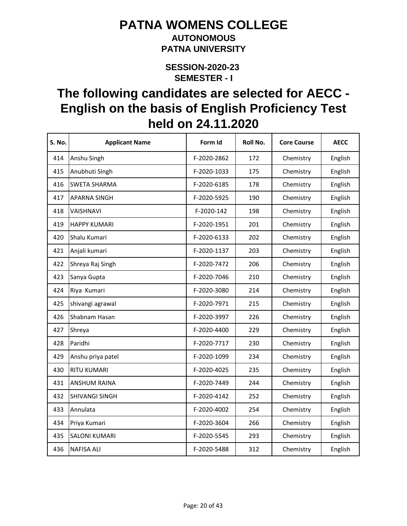#### **AUTONOMOUS PATNA UNIVERSITY**

**SEMESTER - I SESSION-2020-23** 

| <b>S. No.</b> | <b>Applicant Name</b> | Form Id     | Roll No. | <b>Core Course</b> | <b>AECC</b> |
|---------------|-----------------------|-------------|----------|--------------------|-------------|
| 414           | Anshu Singh           | F-2020-2862 | 172      | Chemistry          | English     |
| 415           | Anubhuti Singh        | F-2020-1033 | 175      | Chemistry          | English     |
| 416           | <b>SWETA SHARMA</b>   | F-2020-6185 | 178      | Chemistry          | English     |
| 417           | <b>APARNA SINGH</b>   | F-2020-5925 | 190      | Chemistry          | English     |
| 418           | VAISHNAVI             | F-2020-142  | 198      | Chemistry          | English     |
| 419           | <b>HAPPY KUMARI</b>   | F-2020-1951 | 201      | Chemistry          | English     |
| 420           | Shalu Kumari          | F-2020-6133 | 202      | Chemistry          | English     |
| 421           | Anjali kumari         | F-2020-1137 | 203      | Chemistry          | English     |
| 422           | Shreya Raj Singh      | F-2020-7472 | 206      | Chemistry          | English     |
| 423           | Sanya Gupta           | F-2020-7046 | 210      | Chemistry          | English     |
| 424           | Riya Kumari           | F-2020-3080 | 214      | Chemistry          | English     |
| 425           | shivangi agrawal      | F-2020-7971 | 215      | Chemistry          | English     |
| 426           | Shabnam Hasan         | F-2020-3997 | 226      | Chemistry          | English     |
| 427           | Shreya                | F-2020-4400 | 229      | Chemistry          | English     |
| 428           | Paridhi               | F-2020-7717 | 230      | Chemistry          | English     |
| 429           | Anshu priya patel     | F-2020-1099 | 234      | Chemistry          | English     |
| 430           | <b>RITU KUMARI</b>    | F-2020-4025 | 235      | Chemistry          | English     |
| 431           | <b>ANSHUM RAINA</b>   | F-2020-7449 | 244      | Chemistry          | English     |
| 432           | <b>SHIVANGI SINGH</b> | F-2020-4142 | 252      | Chemistry          | English     |
| 433           | Annulata              | F-2020-4002 | 254      | Chemistry          | English     |
| 434           | Priya Kumari          | F-2020-3604 | 266      | Chemistry          | English     |
| 435           | <b>SALONI KUMARI</b>  | F-2020-5545 | 293      | Chemistry          | English     |
| 436           | <b>NAFISA ALI</b>     | F-2020-5488 | 312      | Chemistry          | English     |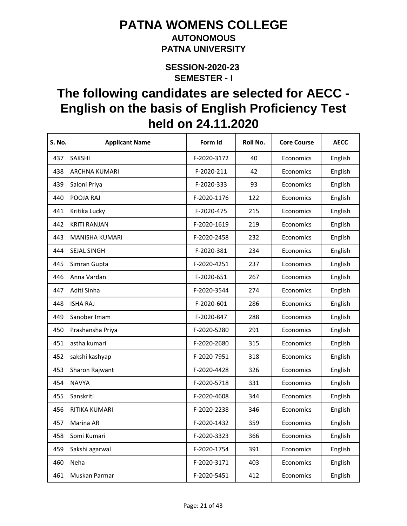#### **AUTONOMOUS PATNA UNIVERSITY**

**SEMESTER - I SESSION-2020-23** 

| <b>S. No.</b> | <b>Applicant Name</b> | Form Id     | Roll No. | <b>Core Course</b> | <b>AECC</b> |
|---------------|-----------------------|-------------|----------|--------------------|-------------|
| 437           | <b>SAKSHI</b>         | F-2020-3172 | 40       | Economics          | English     |
| 438           | <b>ARCHNA KUMARI</b>  | F-2020-211  | 42       | Economics          | English     |
| 439           | Saloni Priya          | F-2020-333  | 93       | Economics          | English     |
| 440           | POOJA RAJ             | F-2020-1176 | 122      | Economics          | English     |
| 441           | Kritika Lucky         | F-2020-475  | 215      | Economics          | English     |
| 442           | <b>KRITI RANJAN</b>   | F-2020-1619 | 219      | Economics          | English     |
| 443           | <b>MANISHA KUMARI</b> | F-2020-2458 | 232      | Economics          | English     |
| 444           | <b>SEJAL SINGH</b>    | F-2020-381  | 234      | Economics          | English     |
| 445           | Simran Gupta          | F-2020-4251 | 237      | Economics          | English     |
| 446           | Anna Vardan           | F-2020-651  | 267      | Economics          | English     |
| 447           | Aditi Sinha           | F-2020-3544 | 274      | Economics          | English     |
| 448           | <b>ISHA RAJ</b>       | F-2020-601  | 286      | Economics          | English     |
| 449           | Sanober Imam          | F-2020-847  | 288      | Economics          | English     |
| 450           | Prashansha Priya      | F-2020-5280 | 291      | Economics          | English     |
| 451           | astha kumari          | F-2020-2680 | 315      | Economics          | English     |
| 452           | sakshi kashyap        | F-2020-7951 | 318      | Economics          | English     |
| 453           | Sharon Rajwant        | F-2020-4428 | 326      | Economics          | English     |
| 454           | <b>NAVYA</b>          | F-2020-5718 | 331      | Economics          | English     |
| 455           | Sanskriti             | F-2020-4608 | 344      | Economics          | English     |
| 456           | RITIKA KUMARI         | F-2020-2238 | 346      | Economics          | English     |
| 457           | Marina AR             | F-2020-1432 | 359      | Economics          | English     |
| 458           | Somi Kumari           | F-2020-3323 | 366      | Economics          | English     |
| 459           | Sakshi agarwal        | F-2020-1754 | 391      | Economics          | English     |
| 460           | Neha                  | F-2020-3171 | 403      | Economics          | English     |
| 461           | Muskan Parmar         | F-2020-5451 | 412      | Economics          | English     |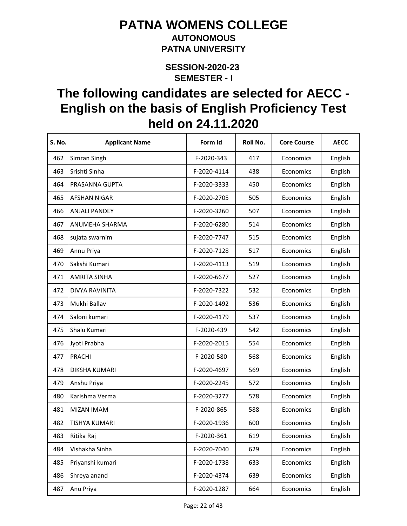#### **AUTONOMOUS PATNA UNIVERSITY**

**SEMESTER - I SESSION-2020-23** 

| S. No. | <b>Applicant Name</b> | Form Id     | Roll No. | <b>Core Course</b> | <b>AECC</b> |
|--------|-----------------------|-------------|----------|--------------------|-------------|
| 462    | Simran Singh          | F-2020-343  | 417      | Economics          | English     |
| 463    | Srishti Sinha         | F-2020-4114 | 438      | Economics          | English     |
| 464    | PRASANNA GUPTA        | F-2020-3333 | 450      | Economics          | English     |
| 465    | <b>AFSHAN NIGAR</b>   | F-2020-2705 | 505      | Economics          | English     |
| 466    | <b>ANJALI PANDEY</b>  | F-2020-3260 | 507      | Economics          | English     |
| 467    | ANUMEHA SHARMA        | F-2020-6280 | 514      | Economics          | English     |
| 468    | sujata swarnim        | F-2020-7747 | 515      | Economics          | English     |
| 469    | Annu Priya            | F-2020-7128 | 517      | Economics          | English     |
| 470    | Sakshi Kumari         | F-2020-4113 | 519      | Economics          | English     |
| 471    | <b>AMRITA SINHA</b>   | F-2020-6677 | 527      | Economics          | English     |
| 472    | DIVYA RAVINITA        | F-2020-7322 | 532      | Economics          | English     |
| 473    | Mukhi Ballav          | F-2020-1492 | 536      | Economics          | English     |
| 474    | Saloni kumari         | F-2020-4179 | 537      | Economics          | English     |
| 475    | Shalu Kumari          | F-2020-439  | 542      | Economics          | English     |
| 476    | Jyoti Prabha          | F-2020-2015 | 554      | Economics          | English     |
| 477    | PRACHI                | F-2020-580  | 568      | Economics          | English     |
| 478    | DIKSHA KUMARI         | F-2020-4697 | 569      | Economics          | English     |
| 479    | Anshu Priya           | F-2020-2245 | 572      | Economics          | English     |
| 480    | Karishma Verma        | F-2020-3277 | 578      | Economics          | English     |
| 481    | <b>MIZAN IMAM</b>     | F-2020-865  | 588      | Economics          | English     |
| 482    | <b>TISHYA KUMARI</b>  | F-2020-1936 | 600      | Economics          | English     |
| 483    | Ritika Raj            | F-2020-361  | 619      | Economics          | English     |
| 484    | Vishakha Sinha        | F-2020-7040 | 629      | Economics          | English     |
| 485    | Priyanshi kumari      | F-2020-1738 | 633      | Economics          | English     |
| 486    | Shreya anand          | F-2020-4374 | 639      | Economics          | English     |
| 487    | Anu Priya             | F-2020-1287 | 664      | Economics          | English     |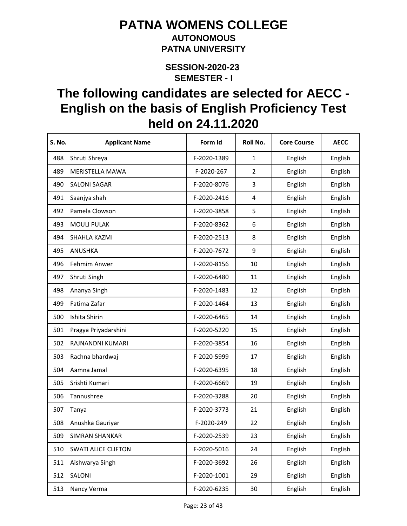#### **AUTONOMOUS PATNA UNIVERSITY**

**SEMESTER - I SESSION-2020-23** 

| S. No. | <b>Applicant Name</b>      | Form Id     | Roll No.                | <b>Core Course</b> | <b>AECC</b> |
|--------|----------------------------|-------------|-------------------------|--------------------|-------------|
| 488    | Shruti Shreya              | F-2020-1389 | $\mathbf{1}$            | English            | English     |
| 489    | MERISTELLA MAWA            | F-2020-267  | $\overline{2}$          | English            | English     |
| 490    | <b>SALONI SAGAR</b>        | F-2020-8076 | 3                       | English            | English     |
| 491    | Saanjya shah               | F-2020-2416 | $\overline{\mathbf{4}}$ | English            | English     |
| 492    | Pamela Clowson             | F-2020-3858 | 5                       | English            | English     |
| 493    | <b>MOULI PULAK</b>         | F-2020-8362 | 6                       | English            | English     |
| 494    | <b>SHAHLA KAZMI</b>        | F-2020-2513 | 8                       | English            | English     |
| 495    | ANUSHKA                    | F-2020-7672 | 9                       | English            | English     |
| 496    | Fehmim Anwer               | F-2020-8156 | 10                      | English            | English     |
| 497    | Shruti Singh               | F-2020-6480 | 11                      | English            | English     |
| 498    | Ananya Singh               | F-2020-1483 | 12                      | English            | English     |
| 499    | Fatima Zafar               | F-2020-1464 | 13                      | English            | English     |
| 500    | Ishita Shirin              | F-2020-6465 | 14                      | English            | English     |
| 501    | Pragya Priyadarshini       | F-2020-5220 | 15                      | English            | English     |
| 502    | RAJNANDNI KUMARI           | F-2020-3854 | 16                      | English            | English     |
| 503    | Rachna bhardwaj            | F-2020-5999 | 17                      | English            | English     |
| 504    | Aamna Jamal                | F-2020-6395 | 18                      | English            | English     |
| 505    | Srishti Kumari             | F-2020-6669 | 19                      | English            | English     |
| 506    | Tannushree                 | F-2020-3288 | 20                      | English            | English     |
| 507    | Tanya                      | F-2020-3773 | 21                      | English            | English     |
| 508    | Anushka Gauriyar           | F-2020-249  | 22                      | English            | English     |
| 509    | <b>SIMRAN SHANKAR</b>      | F-2020-2539 | 23                      | English            | English     |
| 510    | <b>SWATI ALICE CLIFTON</b> | F-2020-5016 | 24                      | English            | English     |
| 511    | Aishwarya Singh            | F-2020-3692 | 26                      | English            | English     |
| 512    | SALONI                     | F-2020-1001 | 29                      | English            | English     |
| 513    | Nancy Verma                | F-2020-6235 | 30                      | English            | English     |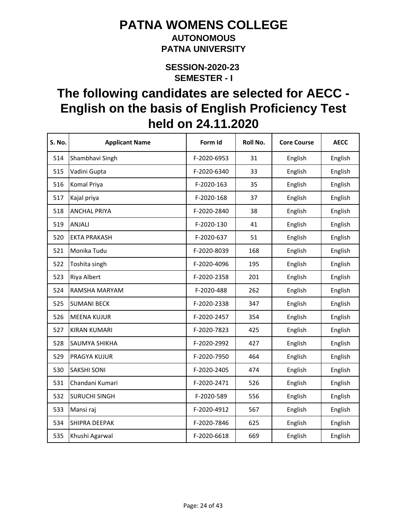#### **AUTONOMOUS PATNA UNIVERSITY**

**SEMESTER - I SESSION-2020-23** 

| S. No. | <b>Applicant Name</b> | Form Id     | Roll No. | <b>Core Course</b> | <b>AECC</b> |
|--------|-----------------------|-------------|----------|--------------------|-------------|
| 514    | Shambhavi Singh       | F-2020-6953 | 31       | English            | English     |
| 515    | Vadini Gupta          | F-2020-6340 | 33       | English            | English     |
| 516    | Komal Priya           | F-2020-163  | 35       | English            | English     |
| 517    | Kajal priya           | F-2020-168  | 37       | English            | English     |
| 518    | <b>ANCHAL PRIYA</b>   | F-2020-2840 | 38       | English            | English     |
| 519    | ANJALI                | F-2020-130  | 41       | English            | English     |
| 520    | <b>EKTA PRAKASH</b>   | F-2020-637  | 51       | English            | English     |
| 521    | Monika Tudu           | F-2020-8039 | 168      | English            | English     |
| 522    | Toshita singh         | F-2020-4096 | 195      | English            | English     |
| 523    | Riya Albert           | F-2020-2358 | 201      | English            | English     |
| 524    | RAMSHA MARYAM         | F-2020-488  | 262      | English            | English     |
| 525    | <b>SUMANI BECK</b>    | F-2020-2338 | 347      | English            | English     |
| 526    | <b>MEENA KUJUR</b>    | F-2020-2457 | 354      | English            | English     |
| 527    | <b>KIRAN KUMARI</b>   | F-2020-7823 | 425      | English            | English     |
| 528    | <b>SAUMYA SHIKHA</b>  | F-2020-2992 | 427      | English            | English     |
| 529    | <b>PRAGYA KUJUR</b>   | F-2020-7950 | 464      | English            | English     |
| 530    | <b>SAKSHI SONI</b>    | F-2020-2405 | 474      | English            | English     |
| 531    | Chandani Kumari       | F-2020-2471 | 526      | English            | English     |
| 532    | <b>SURUCHI SINGH</b>  | F-2020-589  | 556      | English            | English     |
| 533    | Mansi raj             | F-2020-4912 | 567      | English            | English     |
| 534    | SHIPRA DEEPAK         | F-2020-7846 | 625      | English            | English     |
| 535    | Khushi Agarwal        | F-2020-6618 | 669      | English            | English     |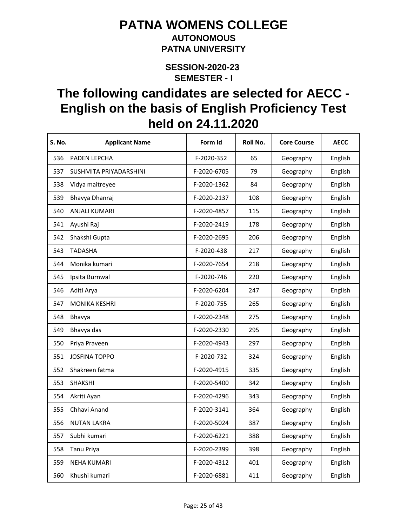#### **AUTONOMOUS PATNA UNIVERSITY**

**SEMESTER - I SESSION-2020-23** 

| S. No. | <b>Applicant Name</b>  | Form Id     | Roll No. | <b>Core Course</b> | <b>AECC</b> |
|--------|------------------------|-------------|----------|--------------------|-------------|
| 536    | PADEN LEPCHA           | F-2020-352  | 65       | Geography          | English     |
| 537    | SUSHMITA PRIYADARSHINI | F-2020-6705 | 79       | Geography          | English     |
| 538    | Vidya maitreyee        | F-2020-1362 | 84       | Geography          | English     |
| 539    | Bhavya Dhanraj         | F-2020-2137 | 108      | Geography          | English     |
| 540    | <b>ANJALI KUMARI</b>   | F-2020-4857 | 115      | Geography          | English     |
| 541    | Ayushi Raj             | F-2020-2419 | 178      | Geography          | English     |
| 542    | Shakshi Gupta          | F-2020-2695 | 206      | Geography          | English     |
| 543    | TADASHA                | F-2020-438  | 217      | Geography          | English     |
| 544    | Monika kumari          | F-2020-7654 | 218      | Geography          | English     |
| 545    | Ipsita Burnwal         | F-2020-746  | 220      | Geography          | English     |
| 546    | Aditi Arya             | F-2020-6204 | 247      | Geography          | English     |
| 547    | <b>MONIKA KESHRI</b>   | F-2020-755  | 265      | Geography          | English     |
| 548    | Bhavya                 | F-2020-2348 | 275      | Geography          | English     |
| 549    | Bhavya das             | F-2020-2330 | 295      | Geography          | English     |
| 550    | Priya Praveen          | F-2020-4943 | 297      | Geography          | English     |
| 551    | <b>JOSFINA TOPPO</b>   | F-2020-732  | 324      | Geography          | English     |
| 552    | Shakreen fatma         | F-2020-4915 | 335      | Geography          | English     |
| 553    | <b>SHAKSHI</b>         | F-2020-5400 | 342      | Geography          | English     |
| 554    | Akriti Ayan            | F-2020-4296 | 343      | Geography          | English     |
| 555    | Chhavi Anand           | F-2020-3141 | 364      | Geography          | English     |
| 556    | <b>NUTAN LAKRA</b>     | F-2020-5024 | 387      | Geography          | English     |
| 557    | Subhi kumari           | F-2020-6221 | 388      | Geography          | English     |
| 558    | Tanu Priya             | F-2020-2399 | 398      | Geography          | English     |
| 559    | <b>NEHA KUMARI</b>     | F-2020-4312 | 401      | Geography          | English     |
| 560    | Khushi kumari          | F-2020-6881 | 411      | Geography          | English     |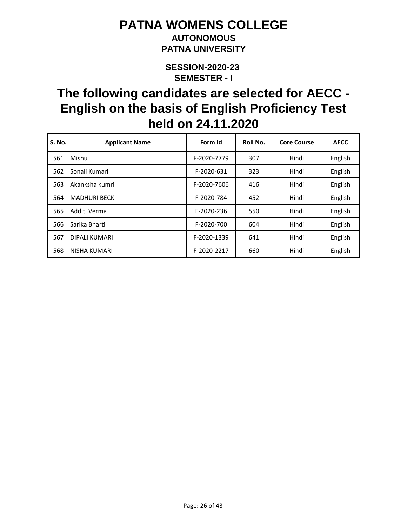### **AUTONOMOUS PATNA UNIVERSITY**

**SEMESTER - I SESSION-2020-23** 

| S. No. | <b>Applicant Name</b> | Form Id     | Roll No. | <b>Core Course</b> | <b>AECC</b> |
|--------|-----------------------|-------------|----------|--------------------|-------------|
| 561    | Mishu                 | F-2020-7779 | 307      | Hindi              | English     |
| 562    | Sonali Kumari         | F-2020-631  | 323      | Hindi              | English     |
| 563    | Akanksha kumri        | F-2020-7606 | 416      | Hindi              | English     |
| 564    | <b>MADHURI BECK</b>   | F-2020-784  | 452      | Hindi              | English     |
| 565    | Additi Verma          | F-2020-236  | 550      | Hindi              | English     |
| 566    | Sarika Bharti         | F-2020-700  | 604      | Hindi              | English     |
| 567    | <b>DIPALI KUMARI</b>  | F-2020-1339 | 641      | Hindi              | English     |
| 568    | NISHA KUMARI          | F-2020-2217 | 660      | Hindi              | English     |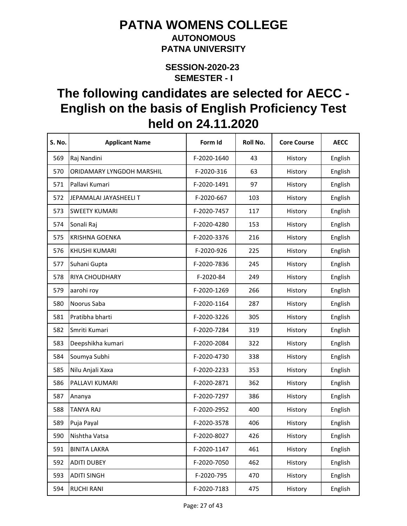#### **AUTONOMOUS PATNA UNIVERSITY**

**SEMESTER - I SESSION-2020-23** 

| S. No. | <b>Applicant Name</b>     | Form Id     | Roll No. | <b>Core Course</b> | <b>AECC</b> |
|--------|---------------------------|-------------|----------|--------------------|-------------|
| 569    | Raj Nandini               | F-2020-1640 | 43       | History            | English     |
| 570    | ORIDAMARY LYNGDOH MARSHIL | F-2020-316  | 63       | History            | English     |
| 571    | Pallavi Kumari            | F-2020-1491 | 97       | History            | English     |
| 572    | JEPAMALAI JAYASHEELI T    | F-2020-667  | 103      | History            | English     |
| 573    | <b>SWEETY KUMARI</b>      | F-2020-7457 | 117      | History            | English     |
| 574    | Sonali Raj                | F-2020-4280 | 153      | History            | English     |
| 575    | <b>KRISHNA GOENKA</b>     | F-2020-3376 | 216      | History            | English     |
| 576    | <b>KHUSHI KUMARI</b>      | F-2020-926  | 225      | History            | English     |
| 577    | Suhani Gupta              | F-2020-7836 | 245      | History            | English     |
| 578    | RIYA CHOUDHARY            | F-2020-84   | 249      | History            | English     |
| 579    | aarohi roy                | F-2020-1269 | 266      | History            | English     |
| 580    | Noorus Saba               | F-2020-1164 | 287      | History            | English     |
| 581    | Pratibha bharti           | F-2020-3226 | 305      | History            | English     |
| 582    | Smriti Kumari             | F-2020-7284 | 319      | History            | English     |
| 583    | Deepshikha kumari         | F-2020-2084 | 322      | History            | English     |
| 584    | Soumya Subhi              | F-2020-4730 | 338      | History            | English     |
| 585    | Nilu Anjali Xaxa          | F-2020-2233 | 353      | History            | English     |
| 586    | PALLAVI KUMARI            | F-2020-2871 | 362      | History            | English     |
| 587    | Ananya                    | F-2020-7297 | 386      | History            | English     |
| 588    | <b>TANYA RAJ</b>          | F-2020-2952 | 400      | History            | English     |
| 589    | Puja Payal                | F-2020-3578 | 406      | History            | English     |
| 590    | Nishtha Vatsa             | F-2020-8027 | 426      | History            | English     |
| 591    | <b>BINITA LAKRA</b>       | F-2020-1147 | 461      | History            | English     |
| 592    | <b>ADITI DUBEY</b>        | F-2020-7050 | 462      | History            | English     |
| 593    | <b>ADITI SINGH</b>        | F-2020-795  | 470      | History            | English     |
| 594    | <b>RUCHI RANI</b>         | F-2020-7183 | 475      | History            | English     |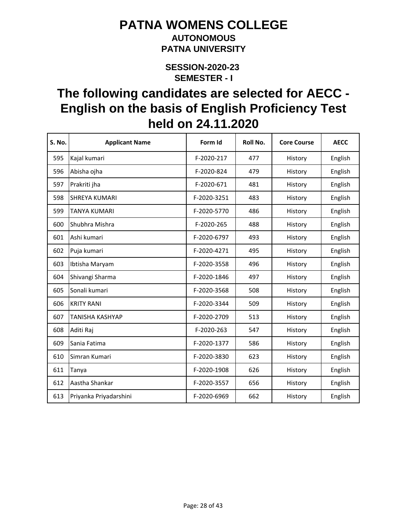### **AUTONOMOUS PATNA UNIVERSITY**

**SEMESTER - I SESSION-2020-23** 

| S. No. | <b>Applicant Name</b>  | Form Id     | Roll No. | <b>Core Course</b> | <b>AECC</b> |
|--------|------------------------|-------------|----------|--------------------|-------------|
| 595    | Kajal kumari           | F-2020-217  | 477      | History            | English     |
| 596    | Abisha ojha            | F-2020-824  | 479      | History            | English     |
| 597    | Prakriti jha           | F-2020-671  | 481      | History            | English     |
| 598    | <b>SHREYA KUMARI</b>   | F-2020-3251 | 483      | History            | English     |
| 599    | TANYA KUMARI           | F-2020-5770 | 486      | History            | English     |
| 600    | Shubhra Mishra         | F-2020-265  | 488      | History            | English     |
| 601    | Ashi kumari            | F-2020-6797 | 493      | History            | English     |
| 602    | Puja kumari            | F-2020-4271 | 495      | History            | English     |
| 603    | Ibtisha Maryam         | F-2020-3558 | 496      | History            | English     |
| 604    | Shivangi Sharma        | F-2020-1846 | 497      | History            | English     |
| 605    | Sonali kumari          | F-2020-3568 | 508      | History            | English     |
| 606    | <b>KRITY RANI</b>      | F-2020-3344 | 509      | History            | English     |
| 607    | TANISHA KASHYAP        | F-2020-2709 | 513      | History            | English     |
| 608    | Aditi Raj              | F-2020-263  | 547      | History            | English     |
| 609    | Sania Fatima           | F-2020-1377 | 586      | History            | English     |
| 610    | Simran Kumari          | F-2020-3830 | 623      | History            | English     |
| 611    | Tanya                  | F-2020-1908 | 626      | History            | English     |
| 612    | Aastha Shankar         | F-2020-3557 | 656      | History            | English     |
| 613    | Priyanka Priyadarshini | F-2020-6969 | 662      | History            | English     |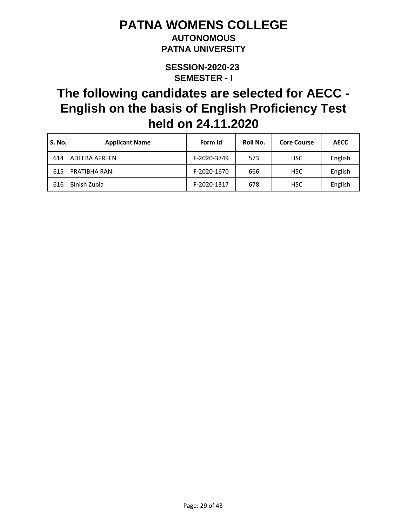#### **AUTONOMOUS PATNA UNIVERSITY**

**SEMESTER - I SESSION-2020-23** 

| S. No. | <b>Applicant Name</b> | Form Id     | Roll No. | <b>Core Course</b> | <b>AECC</b> |
|--------|-----------------------|-------------|----------|--------------------|-------------|
| 614    | ADEEBA AFREEN         | F-2020-3749 | 573      | <b>HSC</b>         | English     |
| 615    | <b>PRATIBHA RANI</b>  | F-2020-1670 | 666      | <b>HSC</b>         | English     |
| 616    | Binish Zubia          | F-2020-1317 | 678      | <b>HSC</b>         | English     |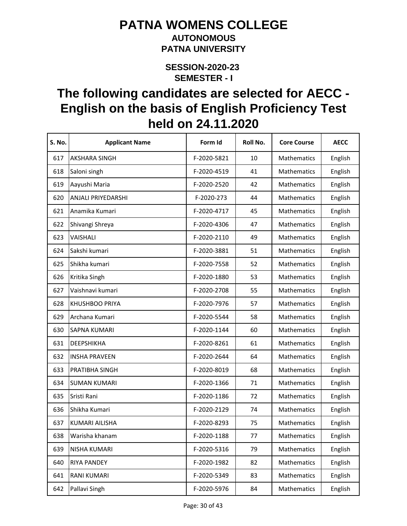#### **AUTONOMOUS PATNA UNIVERSITY**

**SEMESTER - I SESSION-2020-23** 

| <b>S. No.</b> | <b>Applicant Name</b> | Form Id     | Roll No. | <b>Core Course</b> | <b>AECC</b> |
|---------------|-----------------------|-------------|----------|--------------------|-------------|
| 617           | <b>AKSHARA SINGH</b>  | F-2020-5821 | 10       | Mathematics        | English     |
| 618           | Saloni singh          | F-2020-4519 | 41       | Mathematics        | English     |
| 619           | Aayushi Maria         | F-2020-2520 | 42       | Mathematics        | English     |
| 620           | ANJALI PRIYEDARSHI    | F-2020-273  | 44       | Mathematics        | English     |
| 621           | Anamika Kumari        | F-2020-4717 | 45       | Mathematics        | English     |
| 622           | Shivangi Shreya       | F-2020-4306 | 47       | Mathematics        | English     |
| 623           | VAISHALI              | F-2020-2110 | 49       | Mathematics        | English     |
| 624           | Sakshi kumari         | F-2020-3881 | 51       | Mathematics        | English     |
| 625           | Shikha kumari         | F-2020-7558 | 52       | Mathematics        | English     |
| 626           | Kritika Singh         | F-2020-1880 | 53       | Mathematics        | English     |
| 627           | Vaishnavi kumari      | F-2020-2708 | 55       | Mathematics        | English     |
| 628           | KHUSHBOO PRIYA        | F-2020-7976 | 57       | Mathematics        | English     |
| 629           | Archana Kumari        | F-2020-5544 | 58       | Mathematics        | English     |
| 630           | <b>SAPNA KUMARI</b>   | F-2020-1144 | 60       | Mathematics        | English     |
| 631           | DEEPSHIKHA            | F-2020-8261 | 61       | Mathematics        | English     |
| 632           | <b>INSHA PRAVEEN</b>  | F-2020-2644 | 64       | Mathematics        | English     |
| 633           | PRATIBHA SINGH        | F-2020-8019 | 68       | Mathematics        | English     |
| 634           | <b>SUMAN KUMARI</b>   | F-2020-1366 | 71       | Mathematics        | English     |
| 635           | Sristi Rani           | F-2020-1186 | 72       | Mathematics        | English     |
| 636           | Shikha Kumari         | F-2020-2129 | 74       | Mathematics        | English     |
| 637           | <b>KUMARI AILISHA</b> | F-2020-8293 | 75       | Mathematics        | English     |
| 638           | Warisha khanam        | F-2020-1188 | 77       | Mathematics        | English     |
| 639           | NISHA KUMARI          | F-2020-5316 | 79       | Mathematics        | English     |
| 640           | <b>RIYA PANDEY</b>    | F-2020-1982 | 82       | Mathematics        | English     |
| 641           | <b>RANI KUMARI</b>    | F-2020-5349 | 83       | Mathematics        | English     |
| 642           | Pallavi Singh         | F-2020-5976 | 84       | Mathematics        | English     |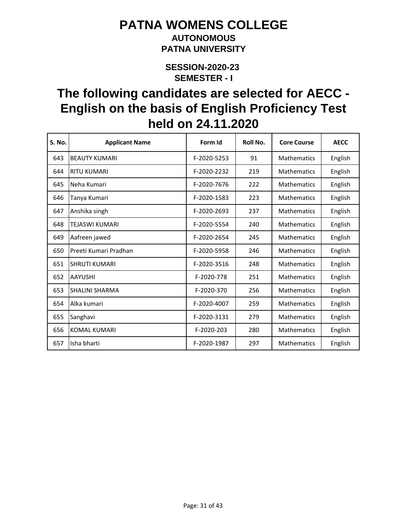### **AUTONOMOUS PATNA UNIVERSITY**

**SEMESTER - I SESSION-2020-23** 

| S. No. | <b>Applicant Name</b> | Form Id     | Roll No. | <b>Core Course</b> | <b>AECC</b> |
|--------|-----------------------|-------------|----------|--------------------|-------------|
| 643    | <b>BEAUTY KUMARI</b>  | F-2020-5253 | 91       | Mathematics        | English     |
| 644    | <b>RITU KUMARI</b>    | F-2020-2232 | 219      | <b>Mathematics</b> | English     |
| 645    | Neha Kumari           | F-2020-7676 | 222      | Mathematics        | English     |
| 646    | Tanya Kumari          | F-2020-1583 | 223      | <b>Mathematics</b> | English     |
| 647    | Anshika singh         | F-2020-2693 | 237      | <b>Mathematics</b> | English     |
| 648    | <b>TEJASWI KUMARI</b> | F-2020-5554 | 240      | <b>Mathematics</b> | English     |
| 649    | Aafreen jawed         | F-2020-2654 | 245      | <b>Mathematics</b> | English     |
| 650    | Preeti Kumari Pradhan | F-2020-5958 | 246      | <b>Mathematics</b> | English     |
| 651    | <b>SHRUTI KUMARI</b>  | F-2020-3516 | 248      | <b>Mathematics</b> | English     |
| 652    | <b>AAYUSHI</b>        | F-2020-778  | 251      | <b>Mathematics</b> | English     |
| 653    | <b>SHALINI SHARMA</b> | F-2020-370  | 256      | <b>Mathematics</b> | English     |
| 654    | Alka kumari           | F-2020-4007 | 259      | <b>Mathematics</b> | English     |
| 655    | Sanghavi              | F-2020-3131 | 279      | <b>Mathematics</b> | English     |
| 656    | KOMAL KUMARI          | F-2020-203  | 280      | <b>Mathematics</b> | English     |
| 657    | Isha bharti           | F-2020-1987 | 297      | <b>Mathematics</b> | English     |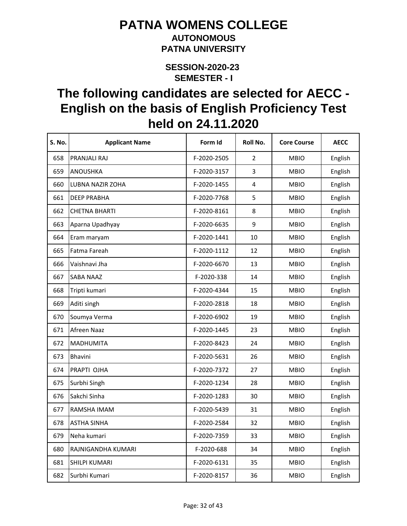#### **AUTONOMOUS PATNA UNIVERSITY**

**SEMESTER - I SESSION-2020-23** 

| <b>S. No.</b> | <b>Applicant Name</b> | Form Id     | Roll No.       | <b>Core Course</b> | <b>AECC</b> |
|---------------|-----------------------|-------------|----------------|--------------------|-------------|
| 658           | PRANJALI RAJ          | F-2020-2505 | $\overline{2}$ | <b>MBIO</b>        | English     |
| 659           | ANOUSHKA              | F-2020-3157 | 3              | <b>MBIO</b>        | English     |
| 660           | LUBNA NAZIR ZOHA      | F-2020-1455 | 4              | <b>MBIO</b>        | English     |
| 661           | <b>DEEP PRABHA</b>    | F-2020-7768 | 5              | <b>MBIO</b>        | English     |
| 662           | <b>CHETNA BHARTI</b>  | F-2020-8161 | 8              | <b>MBIO</b>        | English     |
| 663           | Aparna Upadhyay       | F-2020-6635 | 9              | <b>MBIO</b>        | English     |
| 664           | Eram maryam           | F-2020-1441 | 10             | <b>MBIO</b>        | English     |
| 665           | Fatma Fareah          | F-2020-1112 | 12             | <b>MBIO</b>        | English     |
| 666           | Vaishnavi Jha         | F-2020-6670 | 13             | <b>MBIO</b>        | English     |
| 667           | <b>SABA NAAZ</b>      | F-2020-338  | 14             | <b>MBIO</b>        | English     |
| 668           | Tripti kumari         | F-2020-4344 | 15             | <b>MBIO</b>        | English     |
| 669           | Aditi singh           | F-2020-2818 | 18             | <b>MBIO</b>        | English     |
| 670           | Soumya Verma          | F-2020-6902 | 19             | <b>MBIO</b>        | English     |
| 671           | Afreen Naaz           | F-2020-1445 | 23             | <b>MBIO</b>        | English     |
| 672           | <b>MADHUMITA</b>      | F-2020-8423 | 24             | <b>MBIO</b>        | English     |
| 673           | <b>Bhavini</b>        | F-2020-5631 | 26             | <b>MBIO</b>        | English     |
| 674           | PRAPTI OJHA           | F-2020-7372 | 27             | <b>MBIO</b>        | English     |
| 675           | Surbhi Singh          | F-2020-1234 | 28             | <b>MBIO</b>        | English     |
| 676           | Sakchi Sinha          | F-2020-1283 | 30             | <b>MBIO</b>        | English     |
| 677           | RAMSHA IMAM           | F-2020-5439 | 31             | <b>MBIO</b>        | English     |
| 678           | <b>ASTHA SINHA</b>    | F-2020-2584 | 32             | <b>MBIO</b>        | English     |
| 679           | Neha kumari           | F-2020-7359 | 33             | <b>MBIO</b>        | English     |
| 680           | RAJNIGANDHA KUMARI    | F-2020-688  | 34             | <b>MBIO</b>        | English     |
| 681           | SHILPI KUMARI         | F-2020-6131 | 35             | <b>MBIO</b>        | English     |
| 682           | Surbhi Kumari         | F-2020-8157 | 36             | <b>MBIO</b>        | English     |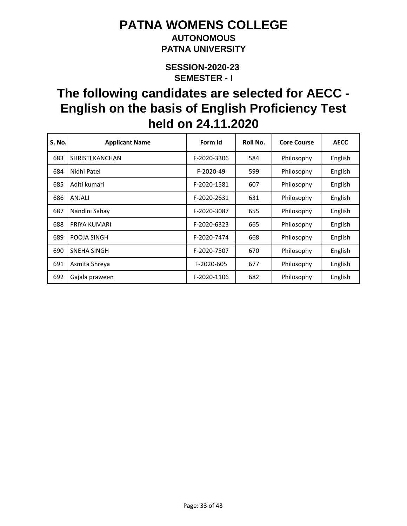### **AUTONOMOUS PATNA UNIVERSITY**

**SEMESTER - I SESSION-2020-23** 

| <b>S. No.</b> | <b>Applicant Name</b>  | Form Id     | Roll No. | <b>Core Course</b> | <b>AECC</b> |
|---------------|------------------------|-------------|----------|--------------------|-------------|
| 683           | <b>SHRISTI KANCHAN</b> | F-2020-3306 | 584      | Philosophy         | English     |
| 684           | Nidhi Patel            | F-2020-49   | 599      | Philosophy         | English     |
| 685           | Aditi kumari           | F-2020-1581 | 607      | Philosophy         | English     |
| 686           | ANJALI                 | F-2020-2631 | 631      | Philosophy         | English     |
| 687           | Nandini Sahay          | F-2020-3087 | 655      | Philosophy         | English     |
| 688           | PRIYA KUMARI           | F-2020-6323 | 665      | Philosophy         | English     |
| 689           | POOJA SINGH            | F-2020-7474 | 668      | Philosophy         | English     |
| 690           | SNEHA SINGH            | F-2020-7507 | 670      | Philosophy         | English     |
| 691           | Asmita Shreya          | F-2020-605  | 677      | Philosophy         | English     |
| 692           | Gajala praween         | F-2020-1106 | 682      | Philosophy         | English     |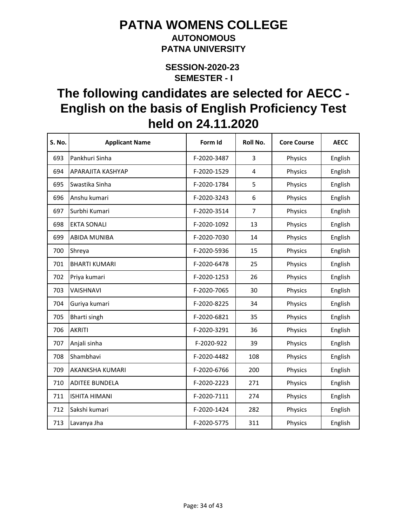### **AUTONOMOUS PATNA UNIVERSITY**

**SEMESTER - I SESSION-2020-23** 

| S. No. | <b>Applicant Name</b> | Form Id     | Roll No.       | <b>Core Course</b> | <b>AECC</b> |
|--------|-----------------------|-------------|----------------|--------------------|-------------|
| 693    | Pankhuri Sinha        | F-2020-3487 | 3              | Physics            | English     |
| 694    | APARAJITA KASHYAP     | F-2020-1529 | 4              | Physics            | English     |
| 695    | Swastika Sinha        | F-2020-1784 | 5              | Physics            | English     |
| 696    | Anshu kumari          | F-2020-3243 | 6              | Physics            | English     |
| 697    | Surbhi Kumari         | F-2020-3514 | $\overline{7}$ | Physics            | English     |
| 698    | <b>EKTA SONALI</b>    | F-2020-1092 | 13             | Physics            | English     |
| 699    | <b>ABIDA MUNIBA</b>   | F-2020-7030 | 14             | Physics            | English     |
| 700    | Shreya                | F-2020-5936 | 15             | Physics            | English     |
| 701    | <b>BHARTI KUMARI</b>  | F-2020-6478 | 25             | Physics            | English     |
| 702    | Priya kumari          | F-2020-1253 | 26             | Physics            | English     |
| 703    | VAISHNAVI             | F-2020-7065 | 30             | Physics            | English     |
| 704    | Guriya kumari         | F-2020-8225 | 34             | Physics            | English     |
| 705    | Bharti singh          | F-2020-6821 | 35             | Physics            | English     |
| 706    | <b>AKRITI</b>         | F-2020-3291 | 36             | Physics            | English     |
| 707    | Anjali sinha          | F-2020-922  | 39             | Physics            | English     |
| 708    | Shambhavi             | F-2020-4482 | 108            | Physics            | English     |
| 709    | AKANKSHA KUMARI       | F-2020-6766 | 200            | Physics            | English     |
| 710    | <b>ADITEE BUNDELA</b> | F-2020-2223 | 271            | Physics            | English     |
| 711    | <b>ISHITA HIMANI</b>  | F-2020-7111 | 274            | Physics            | English     |
| 712    | Sakshi kumari         | F-2020-1424 | 282            | Physics            | English     |
| 713    | Lavanya Jha           | F-2020-5775 | 311            | Physics            | English     |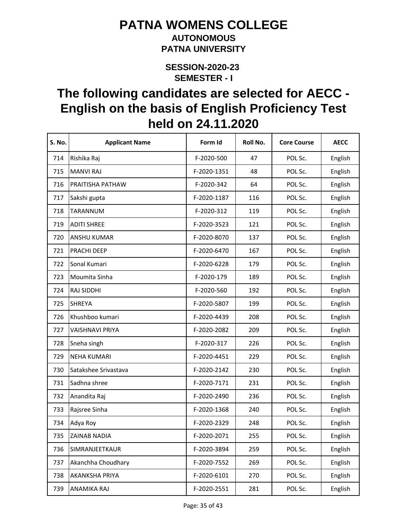### **AUTONOMOUS PATNA UNIVERSITY**

**SEMESTER - I SESSION-2020-23** 

| <b>S. No.</b> | <b>Applicant Name</b>  | Form Id     | Roll No. | <b>Core Course</b> | <b>AECC</b> |
|---------------|------------------------|-------------|----------|--------------------|-------------|
| 714           | Rishika Raj            | F-2020-500  | 47       | POL Sc.            | English     |
| 715           | <b>MANVI RAJ</b>       | F-2020-1351 | 48       | POL Sc.            | English     |
| 716           | PRAITISHA PATHAW       | F-2020-342  | 64       | POL Sc.            | English     |
| 717           | Sakshi gupta           | F-2020-1187 | 116      | POL Sc.            | English     |
| 718           | TARANNUM               | F-2020-312  | 119      | POL Sc.            | English     |
| 719           | <b>ADITI SHREE</b>     | F-2020-3523 | 121      | POL Sc.            | English     |
| 720           | <b>ANSHU KUMAR</b>     | F-2020-8070 | 137      | POL Sc.            | English     |
| 721           | PRACHI DEEP            | F-2020-6470 | 167      | POL Sc.            | English     |
| 722           | Sonal Kumari           | F-2020-6228 | 179      | POL Sc.            | English     |
| 723           | Moumita Sinha          | F-2020-179  | 189      | POL Sc.            | English     |
| 724           | RAJ SIDDHI             | F-2020-560  | 192      | POL Sc.            | English     |
| 725           | <b>SHREYA</b>          | F-2020-5807 | 199      | POL Sc.            | English     |
| 726           | Khushboo kumari        | F-2020-4439 | 208      | POL Sc.            | English     |
| 727           | <b>VAISHNAVI PRIYA</b> | F-2020-2082 | 209      | POL Sc.            | English     |
| 728           | Sneha singh            | F-2020-317  | 226      | POL Sc.            | English     |
| 729           | <b>NEHA KUMARI</b>     | F-2020-4451 | 229      | POL Sc.            | English     |
| 730           | Satakshee Srivastava   | F-2020-2142 | 230      | POL Sc.            | English     |
| 731           | Sadhna shree           | F-2020-7171 | 231      | POL Sc.            | English     |
| 732           | Anandita Raj           | F-2020-2490 | 236      | POL Sc.            | English     |
| 733           | Rajsree Sinha          | F-2020-1368 | 240      | POL Sc.            | English     |
| 734           | Adya Roy               | F-2020-2329 | 248      | POL Sc.            | English     |
| 735           | ZAINAB NADIA           | F-2020-2071 | 255      | POL Sc.            | English     |
| 736           | SIMRANJEETKAUR         | F-2020-3894 | 259      | POL Sc.            | English     |
| 737           | Akanchha Choudhary     | F-2020-7552 | 269      | POL Sc.            | English     |
| 738           | <b>AKANKSHA PRIYA</b>  | F-2020-6101 | 270      | POL Sc.            | English     |
| 739           | ANAMIKA RAJ            | F-2020-2551 | 281      | POL Sc.            | English     |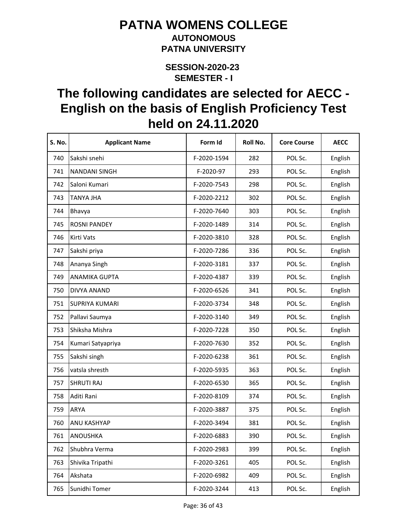#### **AUTONOMOUS PATNA UNIVERSITY**

**SEMESTER - I SESSION-2020-23** 

| S. No. | <b>Applicant Name</b> | Form Id     | Roll No. | <b>Core Course</b> | <b>AECC</b> |
|--------|-----------------------|-------------|----------|--------------------|-------------|
| 740    | Sakshi snehi          | F-2020-1594 | 282      | POL Sc.            | English     |
| 741    | <b>NANDANI SINGH</b>  | F-2020-97   | 293      | POL Sc.            | English     |
| 742    | Saloni Kumari         | F-2020-7543 | 298      | POL Sc.            | English     |
| 743    | <b>TANYA JHA</b>      | F-2020-2212 | 302      | POL Sc.            | English     |
| 744    | Bhavya                | F-2020-7640 | 303      | POL Sc.            | English     |
| 745    | <b>ROSNI PANDEY</b>   | F-2020-1489 | 314      | POL Sc.            | English     |
| 746    | Kirti Vats            | F-2020-3810 | 328      | POL Sc.            | English     |
| 747    | Sakshi priya          | F-2020-7286 | 336      | POL Sc.            | English     |
| 748    | Ananya Singh          | F-2020-3181 | 337      | POL Sc.            | English     |
| 749    | <b>ANAMIKA GUPTA</b>  | F-2020-4387 | 339      | POL Sc.            | English     |
| 750    | DIVYA ANAND           | F-2020-6526 | 341      | POL Sc.            | English     |
| 751    | <b>SUPRIYA KUMARI</b> | F-2020-3734 | 348      | POL Sc.            | English     |
| 752    | Pallavi Saumya        | F-2020-3140 | 349      | POL Sc.            | English     |
| 753    | Shiksha Mishra        | F-2020-7228 | 350      | POL Sc.            | English     |
| 754    | Kumari Satyapriya     | F-2020-7630 | 352      | POL Sc.            | English     |
| 755    | Sakshi singh          | F-2020-6238 | 361      | POL Sc.            | English     |
| 756    | vatsla shresth        | F-2020-5935 | 363      | POL Sc.            | English     |
| 757    | <b>SHRUTI RAJ</b>     | F-2020-6530 | 365      | POL Sc.            | English     |
| 758    | Aditi Rani            | F-2020-8109 | 374      | POL Sc.            | English     |
| 759    | <b>ARYA</b>           | F-2020-3887 | 375      | POL Sc.            | English     |
| 760    | ANU KASHYAP           | F-2020-3494 | 381      | POL Sc.            | English     |
| 761    | <b>ANOUSHKA</b>       | F-2020-6883 | 390      | POL Sc.            | English     |
| 762    | Shubhra Verma         | F-2020-2983 | 399      | POL Sc.            | English     |
| 763    | Shivika Tripathi      | F-2020-3261 | 405      | POL Sc.            | English     |
| 764    | Akshata               | F-2020-6982 | 409      | POL Sc.            | English     |
| 765    | Sunidhi Tomer         | F-2020-3244 | 413      | POL Sc.            | English     |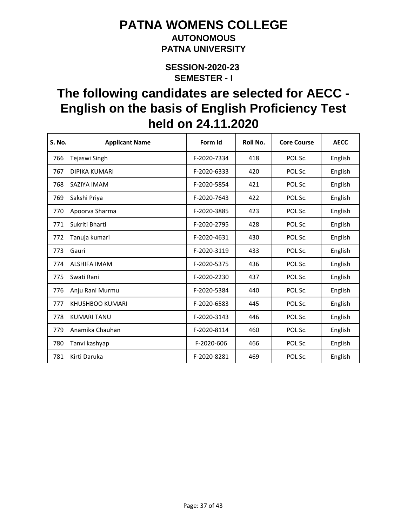### **AUTONOMOUS PATNA UNIVERSITY**

**SEMESTER - I SESSION-2020-23** 

| <b>S. No.</b> | <b>Applicant Name</b>  | Form Id     | Roll No. | <b>Core Course</b> | <b>AECC</b> |
|---------------|------------------------|-------------|----------|--------------------|-------------|
| 766           | Tejaswi Singh          | F-2020-7334 | 418      | POL Sc.            | English     |
| 767           | <b>DIPIKA KUMARI</b>   | F-2020-6333 | 420      | POL Sc.            | English     |
| 768           | SAZIYA IMAM            | F-2020-5854 | 421      | POL Sc.            | English     |
| 769           | Sakshi Priya           | F-2020-7643 | 422      | POL Sc.            | English     |
| 770           | Apoorva Sharma         | F-2020-3885 | 423      | POL Sc.            | English     |
| 771           | Sukriti Bharti         | F-2020-2795 | 428      | POL Sc.            | English     |
| 772           | Tanuja kumari          | F-2020-4631 | 430      | POL Sc.            | English     |
| 773           | Gauri                  | F-2020-3119 | 433      | POL Sc.            | English     |
| 774           | <b>ALSHIFA IMAM</b>    | F-2020-5375 | 436      | POL Sc.            | English     |
| 775           | Swati Rani             | F-2020-2230 | 437      | POL Sc.            | English     |
| 776           | Anju Rani Murmu        | F-2020-5384 | 440      | POL Sc.            | English     |
| 777           | <b>KHUSHBOO KUMARI</b> | F-2020-6583 | 445      | POL Sc.            | English     |
| 778           | <b>KUMARI TANU</b>     | F-2020-3143 | 446      | POL Sc.            | English     |
| 779           | Anamika Chauhan        | F-2020-8114 | 460      | POL Sc.            | English     |
| 780           | Tanvi kashyap          | F-2020-606  | 466      | POL Sc.            | English     |
| 781           | Kirti Daruka           | F-2020-8281 | 469      | POL Sc.            | English     |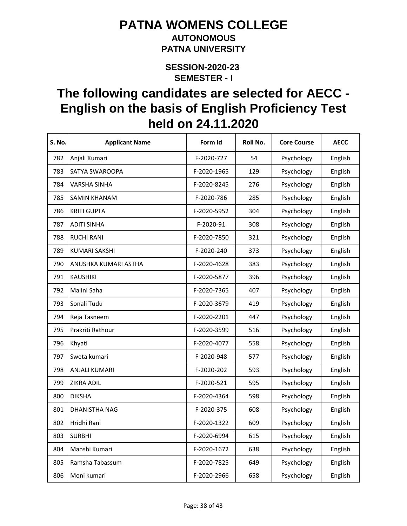#### **AUTONOMOUS PATNA UNIVERSITY**

**SEMESTER - I SESSION-2020-23** 

| S. No. | <b>Applicant Name</b> | Form Id     | Roll No. | <b>Core Course</b> | <b>AECC</b> |
|--------|-----------------------|-------------|----------|--------------------|-------------|
| 782    | Anjali Kumari         | F-2020-727  | 54       | Psychology         | English     |
| 783    | SATYA SWAROOPA        | F-2020-1965 | 129      | Psychology         | English     |
| 784    | <b>VARSHA SINHA</b>   | F-2020-8245 | 276      | Psychology         | English     |
| 785    | <b>SAMIN KHANAM</b>   | F-2020-786  | 285      | Psychology         | English     |
| 786    | <b>KRITI GUPTA</b>    | F-2020-5952 | 304      | Psychology         | English     |
| 787    | <b>ADITI SINHA</b>    | F-2020-91   | 308      | Psychology         | English     |
| 788    | <b>RUCHI RANI</b>     | F-2020-7850 | 321      | Psychology         | English     |
| 789    | <b>KUMARI SAKSHI</b>  | F-2020-240  | 373      | Psychology         | English     |
| 790    | ANUSHKA KUMARI ASTHA  | F-2020-4628 | 383      | Psychology         | English     |
| 791    | <b>KAUSHIKI</b>       | F-2020-5877 | 396      | Psychology         | English     |
| 792    | Malini Saha           | F-2020-7365 | 407      | Psychology         | English     |
| 793    | Sonali Tudu           | F-2020-3679 | 419      | Psychology         | English     |
| 794    | Reja Tasneem          | F-2020-2201 | 447      | Psychology         | English     |
| 795    | Prakriti Rathour      | F-2020-3599 | 516      | Psychology         | English     |
| 796    | Khyati                | F-2020-4077 | 558      | Psychology         | English     |
| 797    | Sweta kumari          | F-2020-948  | 577      | Psychology         | English     |
| 798    | ANJALI KUMARI         | F-2020-202  | 593      | Psychology         | English     |
| 799    | ZIKRA ADIL            | F-2020-521  | 595      | Psychology         | English     |
| 800    | <b>DIKSHA</b>         | F-2020-4364 | 598      | Psychology         | English     |
| 801    | DHANISTHA NAG         | F-2020-375  | 608      | Psychology         | English     |
| 802    | Hridhi Rani           | F-2020-1322 | 609      | Psychology         | English     |
| 803    | <b>SURBHI</b>         | F-2020-6994 | 615      | Psychology         | English     |
| 804    | Manshi Kumari         | F-2020-1672 | 638      | Psychology         | English     |
| 805    | Ramsha Tabassum       | F-2020-7825 | 649      | Psychology         | English     |
| 806    | Moni kumari           | F-2020-2966 | 658      | Psychology         | English     |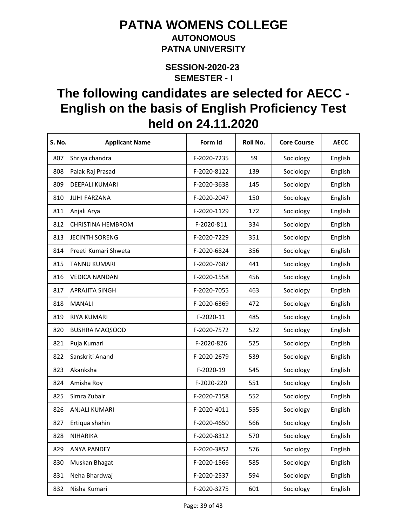#### **AUTONOMOUS PATNA UNIVERSITY**

**SEMESTER - I SESSION-2020-23** 

| <b>S. No.</b> | <b>Applicant Name</b>    | Form Id     | Roll No. | <b>Core Course</b> | <b>AECC</b> |
|---------------|--------------------------|-------------|----------|--------------------|-------------|
| 807           | Shriya chandra           | F-2020-7235 | 59       | Sociology          | English     |
| 808           | Palak Raj Prasad         | F-2020-8122 | 139      | Sociology          | English     |
| 809           | DEEPALI KUMARI           | F-2020-3638 | 145      | Sociology          | English     |
| 810           | <b>JUHI FARZANA</b>      | F-2020-2047 | 150      | Sociology          | English     |
| 811           | Anjali Arya              | F-2020-1129 | 172      | Sociology          | English     |
| 812           | <b>CHRISTINA HEMBROM</b> | F-2020-811  | 334      | Sociology          | English     |
| 813           | <b>JECINTH SORENG</b>    | F-2020-7229 | 351      | Sociology          | English     |
| 814           | Preeti Kumari Shweta     | F-2020-6824 | 356      | Sociology          | English     |
| 815           | <b>TANNU KUMARI</b>      | F-2020-7687 | 441      | Sociology          | English     |
| 816           | <b>VEDICA NANDAN</b>     | F-2020-1558 | 456      | Sociology          | English     |
| 817           | <b>APRAJITA SINGH</b>    | F-2020-7055 | 463      | Sociology          | English     |
| 818           | <b>MANALI</b>            | F-2020-6369 | 472      | Sociology          | English     |
| 819           | <b>RIYA KUMARI</b>       | F-2020-11   | 485      | Sociology          | English     |
| 820           | <b>BUSHRA MAQSOOD</b>    | F-2020-7572 | 522      | Sociology          | English     |
| 821           | Puja Kumari              | F-2020-826  | 525      | Sociology          | English     |
| 822           | Sanskriti Anand          | F-2020-2679 | 539      | Sociology          | English     |
| 823           | Akanksha                 | F-2020-19   | 545      | Sociology          | English     |
| 824           | Amisha Roy               | F-2020-220  | 551      | Sociology          | English     |
| 825           | Simra Zubair             | F-2020-7158 | 552      | Sociology          | English     |
| 826           | ANJALI KUMARI            | F-2020-4011 | 555      | Sociology          | English     |
| 827           | Ertiqua shahin           | F-2020-4650 | 566      | Sociology          | English     |
| 828           | <b>NIHARIKA</b>          | F-2020-8312 | 570      | Sociology          | English     |
| 829           | <b>ANYA PANDEY</b>       | F-2020-3852 | 576      | Sociology          | English     |
| 830           | Muskan Bhagat            | F-2020-1566 | 585      | Sociology          | English     |
| 831           | Neha Bhardwaj            | F-2020-2537 | 594      | Sociology          | English     |
| 832           | Nisha Kumari             | F-2020-3275 | 601      | Sociology          | English     |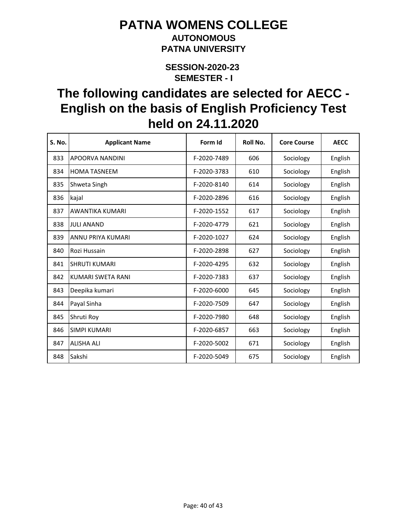#### **AUTONOMOUS PATNA UNIVERSITY**

**SEMESTER - I SESSION-2020-23** 

| <b>S. No.</b> | <b>Applicant Name</b>  | Form Id     | Roll No. | <b>Core Course</b> | <b>AECC</b> |
|---------------|------------------------|-------------|----------|--------------------|-------------|
| 833           | APOORVA NANDINI        | F-2020-7489 | 606      | Sociology          | English     |
| 834           | <b>HOMA TASNEEM</b>    | F-2020-3783 | 610      | Sociology          | English     |
| 835           | Shweta Singh           | F-2020-8140 | 614      | Sociology          | English     |
| 836           | kajal                  | F-2020-2896 | 616      | Sociology          | English     |
| 837           | <b>AWANTIKA KUMARI</b> | F-2020-1552 | 617      | Sociology          | English     |
| 838           | <b>JULI ANAND</b>      | F-2020-4779 | 621      | Sociology          | English     |
| 839           | ANNU PRIYA KUMARI      | F-2020-1027 | 624      | Sociology          | English     |
| 840           | Rozi Hussain           | F-2020-2898 | 627      | Sociology          | English     |
| 841           | <b>SHRUTI KUMARI</b>   | F-2020-4295 | 632      | Sociology          | English     |
| 842           | KUMARI SWETA RANI      | F-2020-7383 | 637      | Sociology          | English     |
| 843           | Deepika kumari         | F-2020-6000 | 645      | Sociology          | English     |
| 844           | Payal Sinha            | F-2020-7509 | 647      | Sociology          | English     |
| 845           | Shruti Roy             | F-2020-7980 | 648      | Sociology          | English     |
| 846           | <b>SIMPI KUMARI</b>    | F-2020-6857 | 663      | Sociology          | English     |
| 847           | <b>ALISHA ALI</b>      | F-2020-5002 | 671      | Sociology          | English     |
| 848           | Sakshi                 | F-2020-5049 | 675      | Sociology          | English     |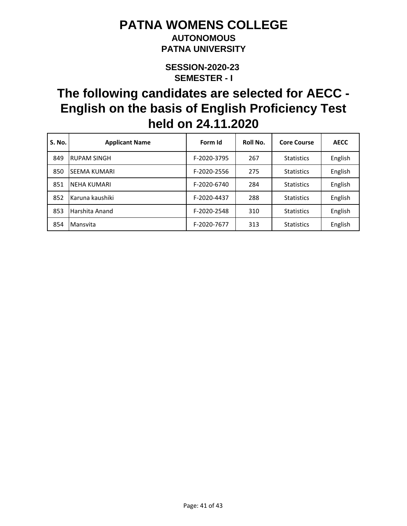### **AUTONOMOUS PATNA UNIVERSITY**

**SEMESTER - I SESSION-2020-23** 

| <b>S. No.</b> | <b>Applicant Name</b> | Form Id     | Roll No. | <b>Core Course</b> | <b>AECC</b> |
|---------------|-----------------------|-------------|----------|--------------------|-------------|
| 849           | RUPAM SINGH           | F-2020-3795 | 267      | <b>Statistics</b>  | English     |
| 850           | ISEEMA KUMARI         | F-2020-2556 | 275      | <b>Statistics</b>  | English     |
| 851           | <b>INEHA KUMARI</b>   | F-2020-6740 | 284      | <b>Statistics</b>  | English     |
| 852           | Karuna kaushiki       | F-2020-4437 | 288      | <b>Statistics</b>  | English     |
| 853           | Harshita Anand        | F-2020-2548 | 310      | <b>Statistics</b>  | English     |
| 854           | Mansvita              | F-2020-7677 | 313      | <b>Statistics</b>  | English     |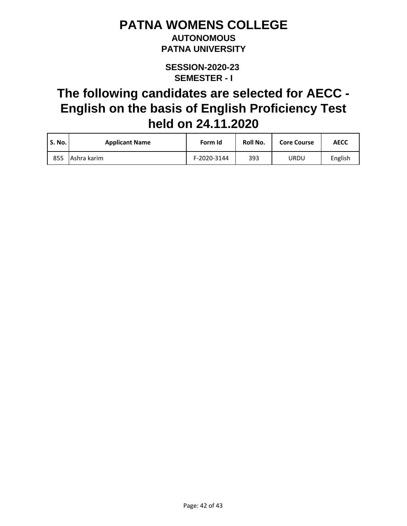#### **AUTONOMOUS PATNA UNIVERSITY**

**SEMESTER - I SESSION-2020-23** 

| S. No. | <b>Applicant Name</b> | Form Id     | Roll No. | <b>Core Course</b> | <b>AECC</b> |
|--------|-----------------------|-------------|----------|--------------------|-------------|
| 855    | l Ashra karim         | F-2020-3144 | 393      | URDU               | English     |